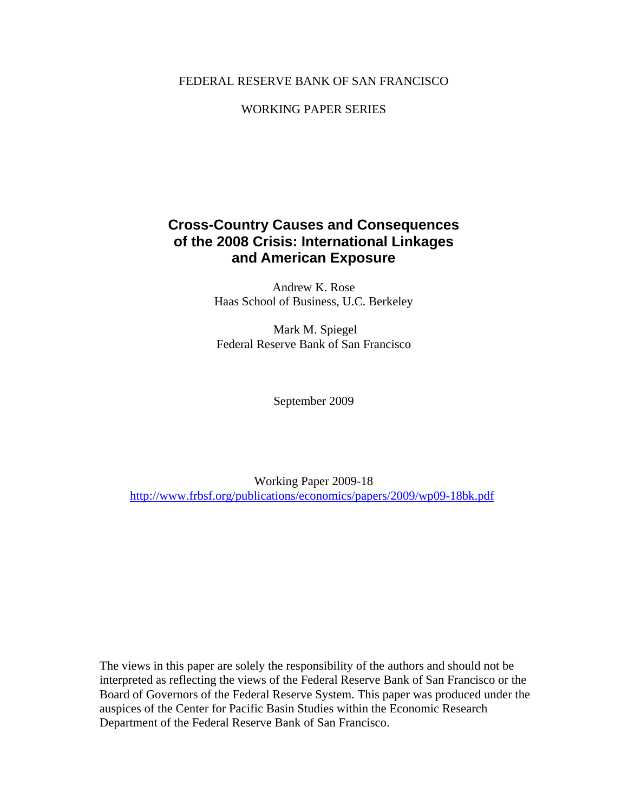## FEDERAL RESERVE BANK OF SAN FRANCISCO

## WORKING PAPER SERIES

## **Cross-Country Causes and Consequences of the 2008 Crisis: International Linkages and American Exposure**

Andrew K. Rose Haas School of Business, U.C. Berkeley

 Mark M. Spiegel Federal Reserve Bank of San Francisco

September 2009

Working Paper 2009-18 http://www.frbsf.org/publications/economics/papers/2009/wp09-18bk.pdf

The views in this paper are solely the responsibility of the authors and should not be interpreted as reflecting the views of the Federal Reserve Bank of San Francisco or the Board of Governors of the Federal Reserve System. This paper was produced under the auspices of the Center for Pacific Basin Studies within the Economic Research Department of the Federal Reserve Bank of San Francisco.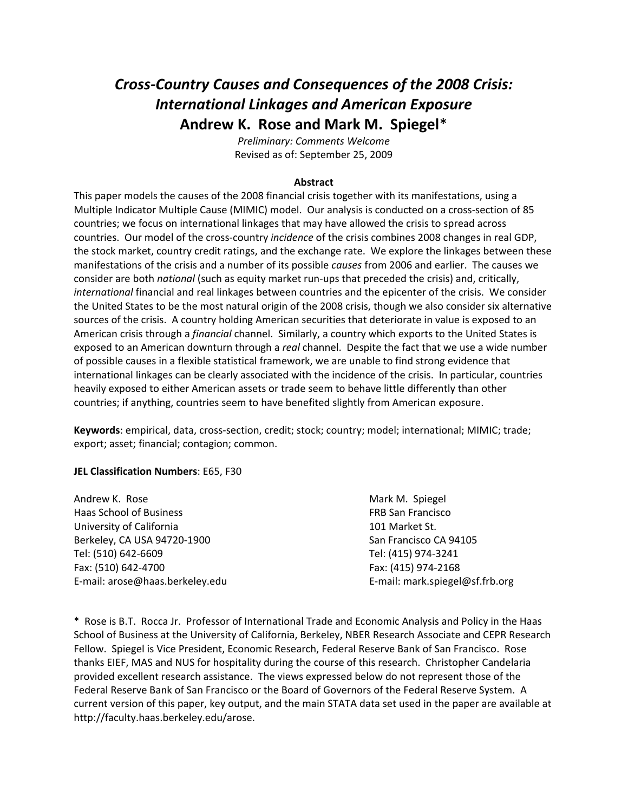# *Cross‐Country Causes and Consequences of the 2008 Crisis: International Linkages and American Exposure* **Andrew K. Rose and Mark M. Spiegel**\*

*Preliminary: Comments Welcome* Revised as of: September 25, 2009

#### **Abstract**

This paper models the causes of the 2008 financial crisis together with its manifestations, using a Multiple Indicator Multiple Cause (MIMIC) model. Our analysis is conducted on a cross-section of 85 countries; we focus on international linkages that may have allowed the crisis to spread across countries. Our model of the cross‐country *incidence* of the crisis combines 2008 changes in real GDP, the stock market, country credit ratings, and the exchange rate. We explore the linkages between these manifestations of the crisis and a number of its possible *causes* from 2006 and earlier. The causes we consider are both *national* (such as equity market run‐ups that preceded the crisis) and, critically, *international* financial and real linkages between countries and the epicenter of the crisis. We consider the United States to be the most natural origin of the 2008 crisis, though we also consider six alternative sources of the crisis. A country holding American securities that deteriorate in value is exposed to an American crisis through a *financial* channel. Similarly, a country which exports to the United States is exposed to an American downturn through a *real* channel. Despite the fact that we use a wide number of possible causes in a flexible statistical framework, we are unable to find strong evidence that international linkages can be clearly associated with the incidence of the crisis. In particular, countries heavily exposed to either American assets or trade seem to behave little differently than other countries; if anything, countries seem to have benefited slightly from American exposure.

**Keywords**: empirical, data, cross‐section, credit; stock; country; model; international; MIMIC; trade; export; asset; financial; contagion; common.

#### **JEL Classification Numbers**: E65, F30

| Mark M. Spiegel                 |
|---------------------------------|
| <b>FRB San Francisco</b>        |
| 101 Market St.                  |
| San Francisco CA 94105          |
| Tel: (415) 974-3241             |
| Fax: (415) 974-2168             |
| E-mail: mark.spiegel@sf.frb.org |
|                                 |

\* Rose is B.T. Rocca Jr. Professor of International Trade and Economic Analysis and Policy in the Haas School of Business at the University of California, Berkeley, NBER Research Associate and CEPR Research Fellow. Spiegel is Vice President, Economic Research, Federal Reserve Bank of San Francisco. Rose thanks EIEF, MAS and NUS for hospitality during the course of this research. Christopher Candelaria provided excellent research assistance. The views expressed below do not represent those of the Federal Reserve Bank of San Francisco or the Board of Governors of the Federal Reserve System. A current version of this paper, key output, and the main STATA data set used in the paper are available at http://faculty.haas.berkeley.edu/arose.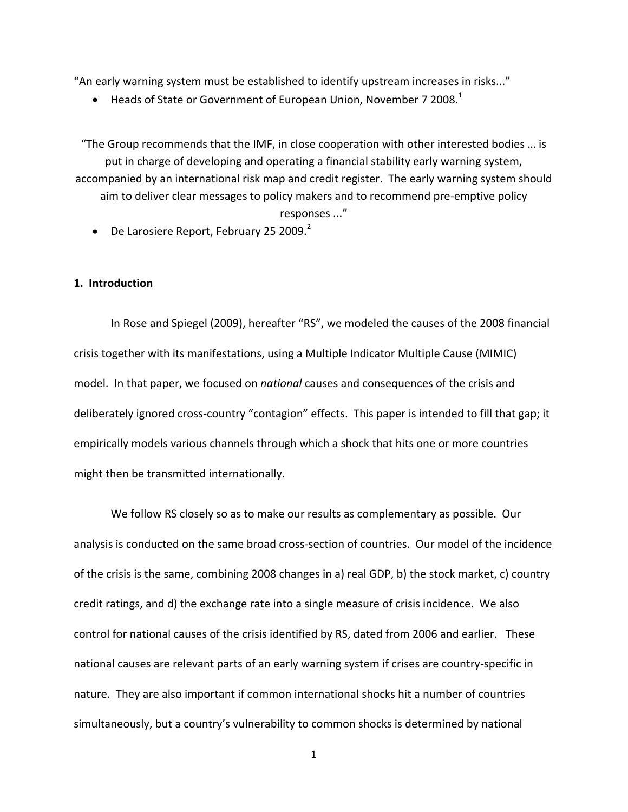"An early warning system must be established to identify upstream increases in risks..."

• Heads of State or Government of European Union, November 7 2008. $^1$ 

"The Group recommends that the IMF, in close cooperation with other interested bodies … is put in charge of developing and operating a financial stability early warning system, accompanied by an international risk map and credit register. The early warning system should aim to deliver clear messages to policy makers and to recommend pre‐emptive policy responses ..."

• De Larosiere Report, February 25 2009. $2$ 

#### **1. Introduction**

In Rose and Spiegel (2009), hereafter "RS", we modeled the causes of the 2008 financial crisis together with its manifestations, using a Multiple Indicator Multiple Cause (MIMIC) model. In that paper, we focused on *national* causes and consequences of the crisis and deliberately ignored cross‐country "contagion" effects. This paper is intended to fill that gap; it empirically models various channels through which a shock that hits one or more countries might then be transmitted internationally.

We follow RS closely so as to make our results as complementary as possible. Our analysis is conducted on the same broad cross‐section of countries. Our model of the incidence of the crisis is the same, combining 2008 changes in a) real GDP, b) the stock market, c) country credit ratings, and d) the exchange rate into a single measure of crisis incidence. We also control for national causes of the crisis identified by RS, dated from 2006 and earlier. These national causes are relevant parts of an early warning system if crises are country‐specific in nature. They are also important if common international shocks hit a number of countries simultaneously, but a country's vulnerability to common shocks is determined by national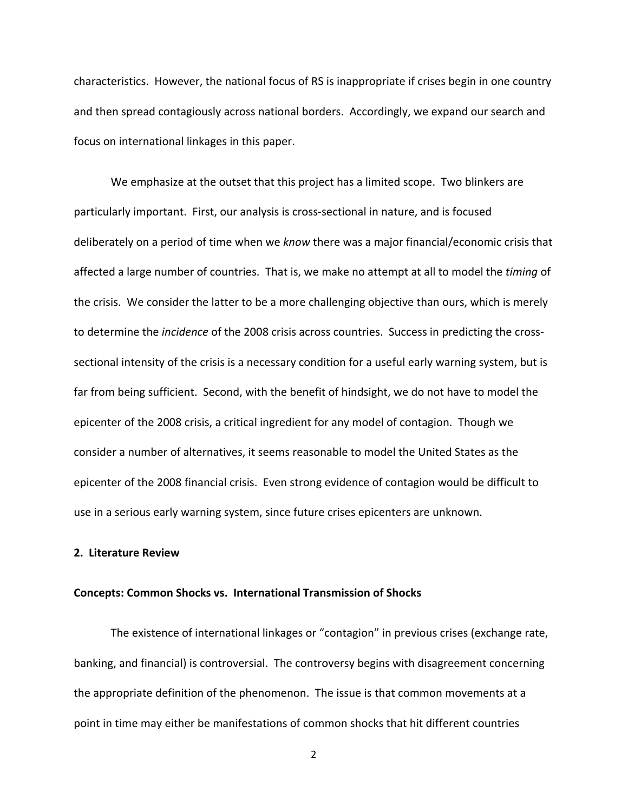characteristics. However, the national focus of RS is inappropriate if crises begin in one country and then spread contagiously across national borders. Accordingly, we expand our search and focus on international linkages in this paper.

We emphasize at the outset that this project has a limited scope. Two blinkers are particularly important. First, our analysis is cross‐sectional in nature, and is focused deliberately on a period of time when we *know* there was a major financial/economic crisis that affected a large number of countries. That is, we make no attempt at all to model the *timing* of the crisis. We consider the latter to be a more challenging objective than ours, which is merely to determine the *incidence* of the 2008 crisis across countries. Success in predicting the cross‐ sectional intensity of the crisis is a necessary condition for a useful early warning system, but is far from being sufficient. Second, with the benefit of hindsight, we do not have to model the epicenter of the 2008 crisis, a critical ingredient for any model of contagion. Though we consider a number of alternatives, it seems reasonable to model the United States as the epicenter of the 2008 financial crisis. Even strong evidence of contagion would be difficult to use in a serious early warning system, since future crises epicenters are unknown.

#### **2. Literature Review**

#### **Concepts: Common Shocks vs. International Transmission of Shocks**

The existence of international linkages or "contagion" in previous crises (exchange rate, banking, and financial) is controversial. The controversy begins with disagreement concerning the appropriate definition of the phenomenon. The issue is that common movements at a point in time may either be manifestations of common shocks that hit different countries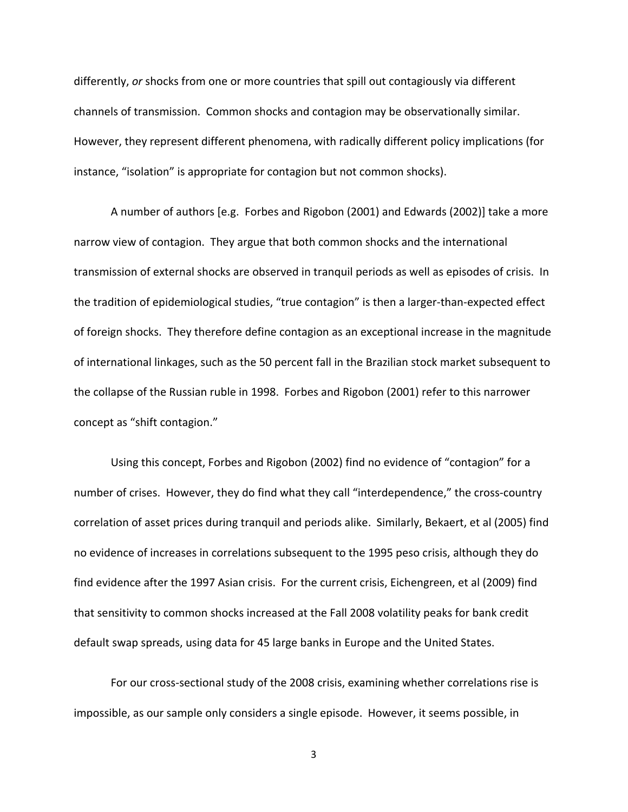differently, *or* shocks from one or more countries that spill out contagiously via different channels of transmission. Common shocks and contagion may be observationally similar. However, they represent different phenomena, with radically different policy implications (for instance, "isolation" is appropriate for contagion but not common shocks).

A number of authors [e.g. Forbes and Rigobon (2001) and Edwards (2002)] take a more narrow view of contagion. They argue that both common shocks and the international transmission of external shocks are observed in tranquil periods as well as episodes of crisis. In the tradition of epidemiological studies, "true contagion" is then a larger‐than‐expected effect of foreign shocks. They therefore define contagion as an exceptional increase in the magnitude of international linkages, such as the 50 percent fall in the Brazilian stock market subsequent to the collapse of the Russian ruble in 1998. Forbes and Rigobon (2001) refer to this narrower concept as "shift contagion."

Using this concept, Forbes and Rigobon (2002) find no evidence of "contagion" for a number of crises. However, they do find what they call "interdependence," the cross-country correlation of asset prices during tranquil and periods alike. Similarly, Bekaert, et al (2005) find no evidence of increases in correlations subsequent to the 1995 peso crisis, although they do find evidence after the 1997 Asian crisis. For the current crisis, Eichengreen, et al (2009) find that sensitivity to common shocks increased at the Fall 2008 volatility peaks for bank credit default swap spreads, using data for 45 large banks in Europe and the United States.

For our cross‐sectional study of the 2008 crisis, examining whether correlations rise is impossible, as our sample only considers a single episode. However, it seems possible, in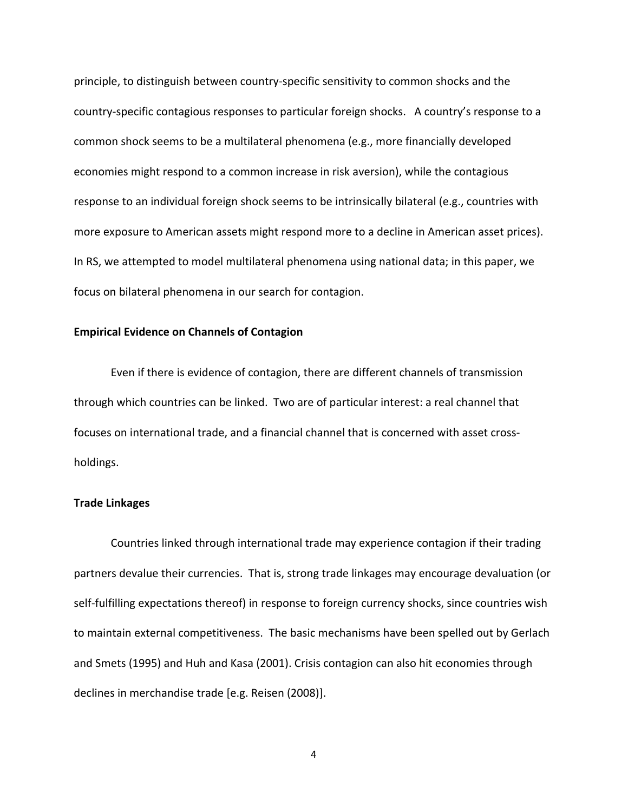principle, to distinguish between country‐specific sensitivity to common shocks and the country‐specific contagious responses to particular foreign shocks. A country's response to a common shock seems to be a multilateral phenomena (e.g., more financially developed economies might respond to a common increase in risk aversion), while the contagious response to an individual foreign shock seems to be intrinsically bilateral (e.g., countries with more exposure to American assets might respond more to a decline in American asset prices). In RS, we attempted to model multilateral phenomena using national data; in this paper, we focus on bilateral phenomena in our search for contagion.

#### **Empirical Evidence on Channels of Contagion**

Even if there is evidence of contagion, there are different channels of transmission through which countries can be linked. Two are of particular interest: a real channel that focuses on international trade, and a financial channel that is concerned with asset cross‐ holdings.

#### **Trade Linkages**

Countries linked through international trade may experience contagion if their trading partners devalue their currencies. That is, strong trade linkages may encourage devaluation (or self-fulfilling expectations thereof) in response to foreign currency shocks, since countries wish to maintain external competitiveness. The basic mechanisms have been spelled out by Gerlach and Smets (1995) and Huh and Kasa (2001). Crisis contagion can also hit economies through declines in merchandise trade [e.g. Reisen (2008)].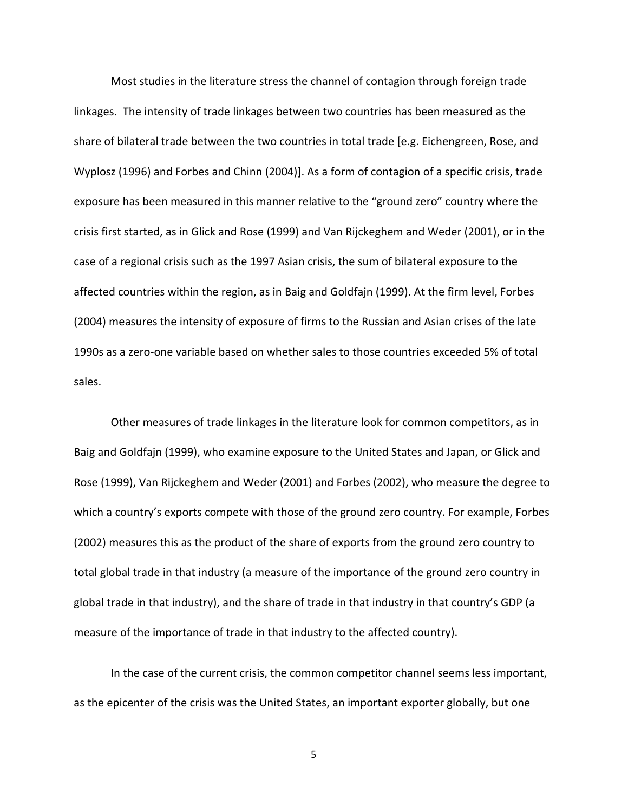Most studies in the literature stress the channel of contagion through foreign trade linkages. The intensity of trade linkages between two countries has been measured as the share of bilateral trade between the two countries in total trade [e.g. Eichengreen, Rose, and Wyplosz (1996) and Forbes and Chinn (2004)]. As a form of contagion of a specific crisis, trade exposure has been measured in this manner relative to the "ground zero" country where the crisis first started, as in Glick and Rose (1999) and Van Rijckeghem and Weder (2001), or in the case of a regional crisis such as the 1997 Asian crisis, the sum of bilateral exposure to the affected countries within the region, as in Baig and Goldfajn (1999). At the firm level, Forbes (2004) measures the intensity of exposure of firms to the Russian and Asian crises of the late 1990s as a zero‐one variable based on whether sales to those countries exceeded 5% of total sales.

Other measures of trade linkages in the literature look for common competitors, as in Baig and Goldfajn (1999), who examine exposure to the United States and Japan, or Glick and Rose (1999), Van Rijckeghem and Weder (2001) and Forbes (2002), who measure the degree to which a country's exports compete with those of the ground zero country. For example, Forbes (2002) measures this as the product of the share of exports from the ground zero country to total global trade in that industry (a measure of the importance of the ground zero country in global trade in that industry), and the share of trade in that industry in that country's GDP (a measure of the importance of trade in that industry to the affected country).

In the case of the current crisis, the common competitor channel seems less important, as the epicenter of the crisis was the United States, an important exporter globally, but one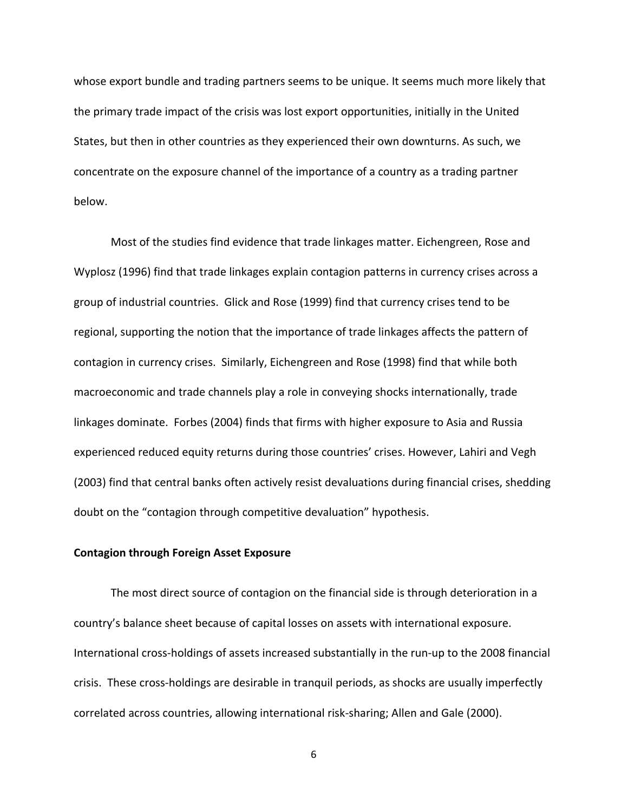whose export bundle and trading partners seems to be unique. It seems much more likely that the primary trade impact of the crisis was lost export opportunities, initially in the United States, but then in other countries as they experienced their own downturns. As such, we concentrate on the exposure channel of the importance of a country as a trading partner below.

Most of the studies find evidence that trade linkages matter. Eichengreen, Rose and Wyplosz (1996) find that trade linkages explain contagion patterns in currency crises across a group of industrial countries. Glick and Rose (1999) find that currency crises tend to be regional, supporting the notion that the importance of trade linkages affects the pattern of contagion in currency crises. Similarly, Eichengreen and Rose (1998) find that while both macroeconomic and trade channels play a role in conveying shocks internationally, trade linkages dominate. Forbes (2004) finds that firms with higher exposure to Asia and Russia experienced reduced equity returns during those countries' crises. However, Lahiri and Vegh (2003) find that central banks often actively resist devaluations during financial crises, shedding doubt on the "contagion through competitive devaluation" hypothesis.

#### **Contagion through Foreign Asset Exposure**

The most direct source of contagion on the financial side is through deterioration in a country's balance sheet because of capital losses on assets with international exposure. International cross-holdings of assets increased substantially in the run-up to the 2008 financial crisis. These cross‐holdings are desirable in tranquil periods, as shocks are usually imperfectly correlated across countries, allowing international risk‐sharing; Allen and Gale (2000).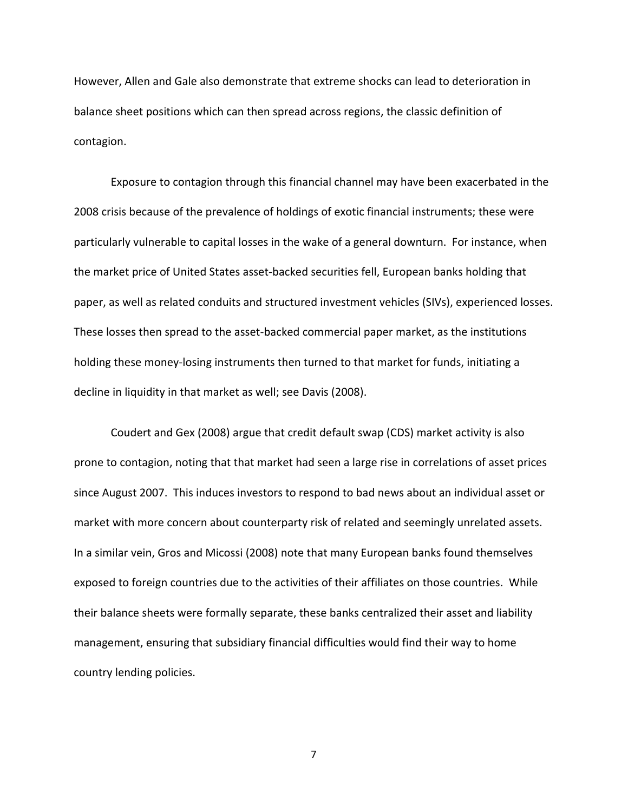However, Allen and Gale also demonstrate that extreme shocks can lead to deterioration in balance sheet positions which can then spread across regions, the classic definition of contagion.

Exposure to contagion through this financial channel may have been exacerbated in the 2008 crisis because of the prevalence of holdings of exotic financial instruments; these were particularly vulnerable to capital losses in the wake of a general downturn. For instance, when the market price of United States asset‐backed securities fell, European banks holding that paper, as well as related conduits and structured investment vehicles (SIVs), experienced losses. These losses then spread to the asset‐backed commercial paper market, as the institutions holding these money-losing instruments then turned to that market for funds, initiating a decline in liquidity in that market as well; see Davis (2008).

Coudert and Gex (2008) argue that credit default swap (CDS) market activity is also prone to contagion, noting that that market had seen a large rise in correlations of asset prices since August 2007. This induces investors to respond to bad news about an individual asset or market with more concern about counterparty risk of related and seemingly unrelated assets. In a similar vein, Gros and Micossi (2008) note that many European banks found themselves exposed to foreign countries due to the activities of their affiliates on those countries. While their balance sheets were formally separate, these banks centralized their asset and liability management, ensuring that subsidiary financial difficulties would find their way to home country lending policies.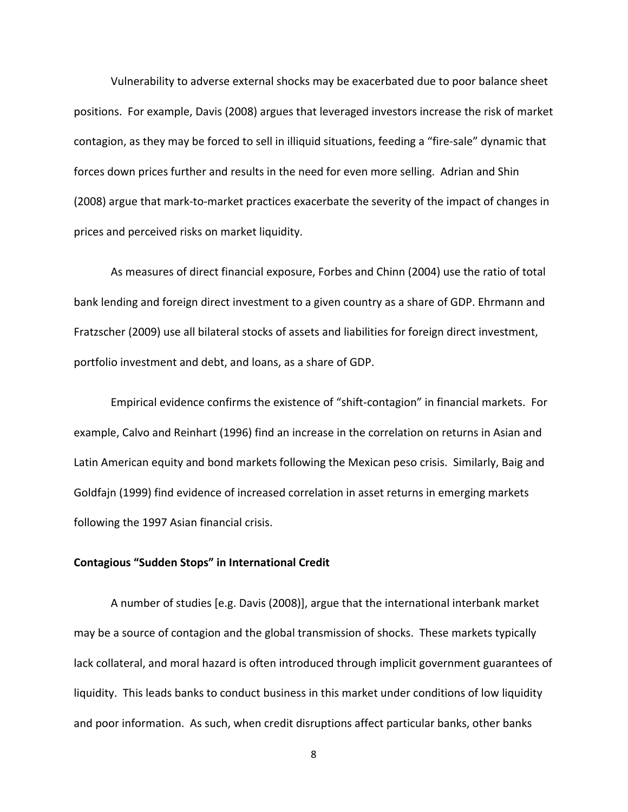Vulnerability to adverse external shocks may be exacerbated due to poor balance sheet positions. For example, Davis (2008) argues that leveraged investors increase the risk of market contagion, as they may be forced to sell in illiquid situations, feeding a "fire‐sale" dynamic that forces down prices further and results in the need for even more selling. Adrian and Shin (2008) argue that mark‐to‐market practices exacerbate the severity of the impact of changes in prices and perceived risks on market liquidity.

As measures of direct financial exposure, Forbes and Chinn (2004) use the ratio of total bank lending and foreign direct investment to a given country as a share of GDP. Ehrmann and Fratzscher (2009) use all bilateral stocks of assets and liabilities for foreign direct investment, portfolio investment and debt, and loans, as a share of GDP.

Empirical evidence confirms the existence of "shift‐contagion" in financial markets. For example, Calvo and Reinhart (1996) find an increase in the correlation on returns in Asian and Latin American equity and bond markets following the Mexican peso crisis. Similarly, Baig and Goldfajn (1999) find evidence of increased correlation in asset returns in emerging markets following the 1997 Asian financial crisis.

#### **Contagious "Sudden Stops" in International Credit**

A number of studies [e.g. Davis (2008)], argue that the international interbank market may be a source of contagion and the global transmission of shocks. These markets typically lack collateral, and moral hazard is often introduced through implicit government guarantees of liquidity. This leads banks to conduct business in this market under conditions of low liquidity and poor information. As such, when credit disruptions affect particular banks, other banks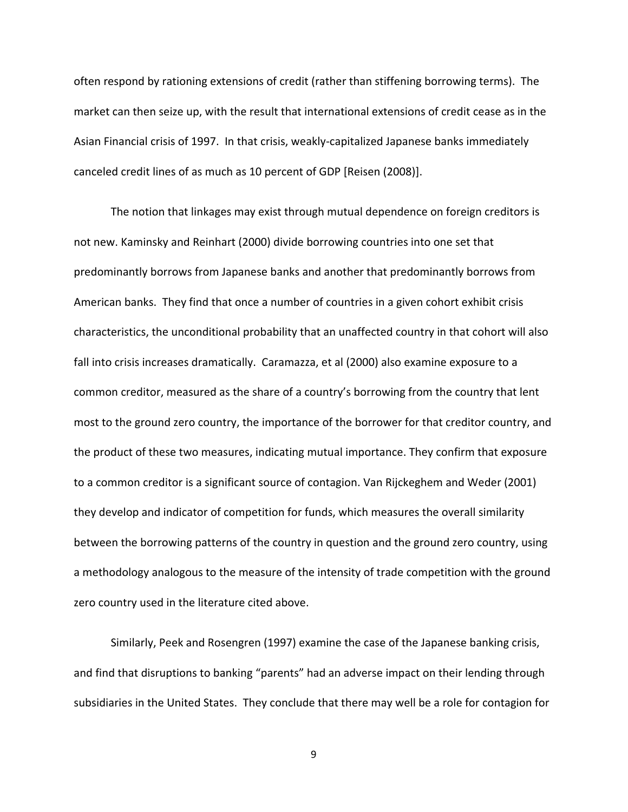often respond by rationing extensions of credit (rather than stiffening borrowing terms). The market can then seize up, with the result that international extensions of credit cease as in the Asian Financial crisis of 1997. In that crisis, weakly‐capitalized Japanese banks immediately canceled credit lines of as much as 10 percent of GDP [Reisen (2008)].

The notion that linkages may exist through mutual dependence on foreign creditors is not new. Kaminsky and Reinhart (2000) divide borrowing countries into one set that predominantly borrows from Japanese banks and another that predominantly borrows from American banks. They find that once a number of countries in a given cohort exhibit crisis characteristics, the unconditional probability that an unaffected country in that cohort will also fall into crisis increases dramatically. Caramazza, et al (2000) also examine exposure to a common creditor, measured as the share of a country's borrowing from the country that lent most to the ground zero country, the importance of the borrower for that creditor country, and the product of these two measures, indicating mutual importance. They confirm that exposure to a common creditor is a significant source of contagion. Van Rijckeghem and Weder (2001) they develop and indicator of competition for funds, which measures the overall similarity between the borrowing patterns of the country in question and the ground zero country, using a methodology analogous to the measure of the intensity of trade competition with the ground zero country used in the literature cited above.

Similarly, Peek and Rosengren (1997) examine the case of the Japanese banking crisis, and find that disruptions to banking "parents" had an adverse impact on their lending through subsidiaries in the United States. They conclude that there may well be a role for contagion for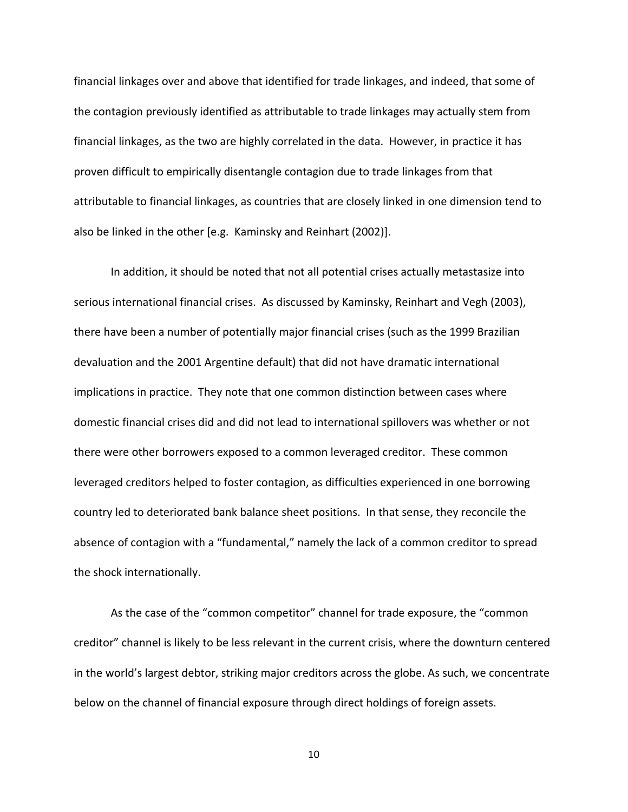financial linkages over and above that identified for trade linkages, and indeed, that some of the contagion previously identified as attributable to trade linkages may actually stem from financial linkages, as the two are highly correlated in the data. However, in practice it has proven difficult to empirically disentangle contagion due to trade linkages from that attributable to financial linkages, as countries that are closely linked in one dimension tend to also be linked in the other [e.g. Kaminsky and Reinhart (2002)].

In addition, it should be noted that not all potential crises actually metastasize into serious international financial crises. As discussed by Kaminsky, Reinhart and Vegh (2003), there have been a number of potentially major financial crises (such as the 1999 Brazilian devaluation and the 2001 Argentine default) that did not have dramatic international implications in practice. They note that one common distinction between cases where domestic financial crises did and did not lead to international spillovers was whether or not there were other borrowers exposed to a common leveraged creditor. These common leveraged creditors helped to foster contagion, as difficulties experienced in one borrowing country led to deteriorated bank balance sheet positions. In that sense, they reconcile the absence of contagion with a "fundamental," namely the lack of a common creditor to spread the shock internationally.

As the case of the "common competitor" channel for trade exposure, the "common creditor" channel is likely to be less relevant in the current crisis, where the downturn centered in the world's largest debtor, striking major creditors across the globe. As such, we concentrate below on the channel of financial exposure through direct holdings of foreign assets.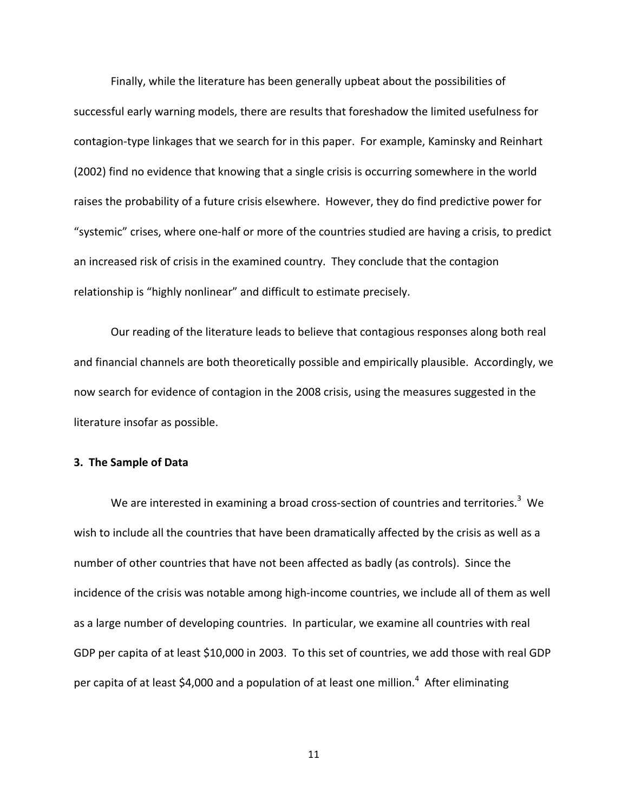Finally, while the literature has been generally upbeat about the possibilities of successful early warning models, there are results that foreshadow the limited usefulness for contagion‐type linkages that we search for in this paper. For example, Kaminsky and Reinhart (2002) find no evidence that knowing that a single crisis is occurring somewhere in the world raises the probability of a future crisis elsewhere. However, they do find predictive power for "systemic" crises, where one‐half or more of the countries studied are having a crisis, to predict an increased risk of crisis in the examined country. They conclude that the contagion relationship is "highly nonlinear" and difficult to estimate precisely.

Our reading of the literature leads to believe that contagious responses along both real and financial channels are both theoretically possible and empirically plausible. Accordingly, we now search for evidence of contagion in the 2008 crisis, using the measures suggested in the literature insofar as possible.

#### **3. The Sample of Data**

We are interested in examining a broad cross-section of countries and territories.<sup>3</sup> We wish to include all the countries that have been dramatically affected by the crisis as well as a number of other countries that have not been affected as badly (as controls). Since the incidence of the crisis was notable among high-income countries, we include all of them as well as a large number of developing countries. In particular, we examine all countries with real GDP per capita of at least \$10,000 in 2003. To this set of countries, we add those with real GDP per capita of at least \$4,000 and a population of at least one million.<sup>4</sup> After eliminating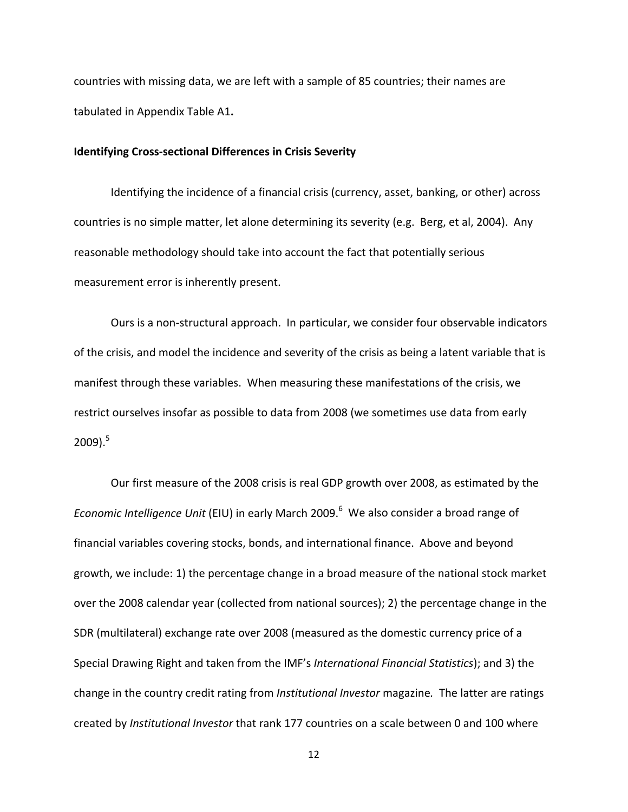countries with missing data, we are left with a sample of 85 countries; their names are tabulated in Appendix Table A1**.**

#### **Identifying Cross‐sectional Differences in Crisis Severity**

Identifying the incidence of a financial crisis (currency, asset, banking, or other) across countries is no simple matter, let alone determining its severity (e.g. Berg, et al, 2004). Any reasonable methodology should take into account the fact that potentially serious measurement error is inherently present.

Ours is a non‐structural approach. In particular, we consider four observable indicators of the crisis, and model the incidence and severity of the crisis as being a latent variable that is manifest through these variables. When measuring these manifestations of the crisis, we restrict ourselves insofar as possible to data from 2008 (we sometimes use data from early  $2009$ ).<sup>5</sup>

Our first measure of the 2008 crisis is real GDP growth over 2008, as estimated by the Economic Intelligence Unit (EIU) in early March 2009.<sup>6</sup> We also consider a broad range of financial variables covering stocks, bonds, and international finance. Above and beyond growth, we include: 1) the percentage change in a broad measure of the national stock market over the 2008 calendar year (collected from national sources); 2) the percentage change in the SDR (multilateral) exchange rate over 2008 (measured as the domestic currency price of a Special Drawing Right and taken from the IMF's *International Financial Statistics*); and 3) the change in the country credit rating from *Institutional Investor* magazine*.* The latter are ratings created by *Institutional Investor* that rank 177 countries on a scale between 0 and 100 where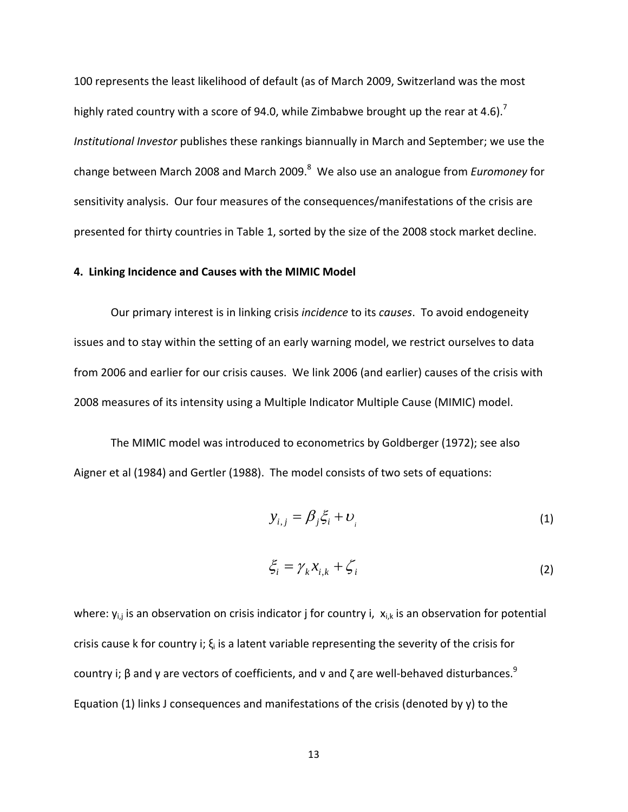100 represents the least likelihood of default (as of March 2009, Switzerland was the most highly rated country with a score of 94.0, while Zimbabwe brought up the rear at 4.6).<sup>7</sup> *Institutional Investor* publishes these rankings biannually in March and September; we use the change between March 2008 and March 2009.<sup>8</sup> We also use an analogue from *Euromoney* for sensitivity analysis. Our four measures of the consequences/manifestations of the crisis are presented for thirty countries in Table 1, sorted by the size of the 2008 stock market decline.

#### **4. Linking Incidence and Causes with the MIMIC Model**

Our primary interest is in linking crisis *incidence* to its *causes*. To avoid endogeneity issues and to stay within the setting of an early warning model, we restrict ourselves to data from 2006 and earlier for our crisis causes. We link 2006 (and earlier) causes of the crisis with 2008 measures of its intensity using a Multiple Indicator Multiple Cause (MIMIC) model.

The MIMIC model was introduced to econometrics by Goldberger (1972); see also Aigner et al (1984) and Gertler (1988). The model consists of two sets of equations:

$$
y_{i,j} = \beta_j \xi_i + \nu_i \tag{1}
$$

$$
\xi_i = \gamma_k x_{i,k} + \zeta_i \tag{2}
$$

where:  $y_{i,j}$  is an observation on crisis indicator j for country i,  $x_{i,k}$  is an observation for potential crisis cause k for country i;  $\xi_i$  is a latent variable representing the severity of the crisis for country i; β and γ are vectors of coefficients, and v and ζ are well-behaved disturbances. $9$ Equation (1) links J consequences and manifestations of the crisis (denoted by y) to the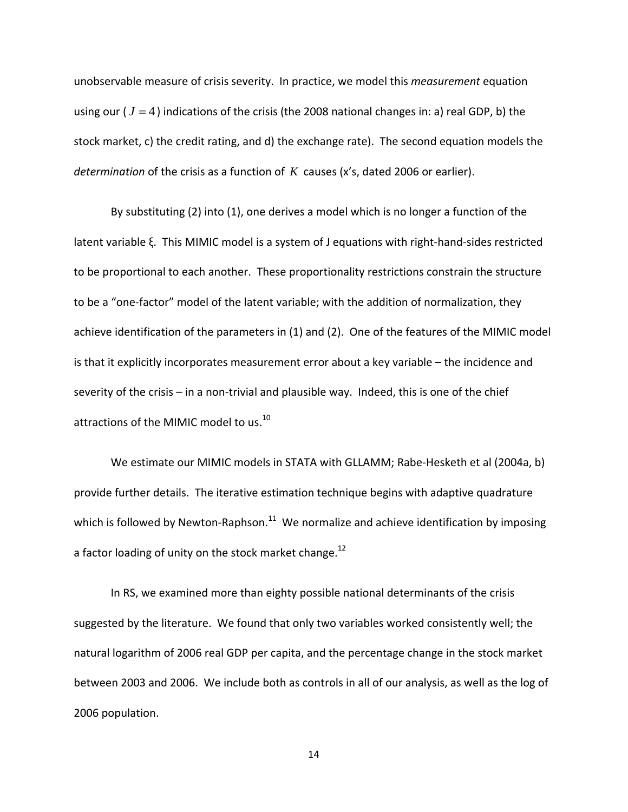unobservable measure of crisis severity. In practice, we model this *measurement* equation using our ( *J* = 4 ) indications of the crisis (the 2008 national changes in: a) real GDP, b) the stock market, c) the credit rating, and d) the exchange rate). The second equation models the *determination* of the crisis as a function of *K* causes (x's, dated 2006 or earlier).

By substituting (2) into (1), one derives a model which is no longer a function of the latent variable ξ. This MIMIC model is a system of J equations with right‐hand‐sides restricted to be proportional to each another. These proportionality restrictions constrain the structure to be a "one‐factor" model of the latent variable; with the addition of normalization, they achieve identification of the parameters in (1) and (2). One of the features of the MIMIC model is that it explicitly incorporates measurement error about a key variable – the incidence and severity of the crisis – in a non-trivial and plausible way. Indeed, this is one of the chief attractions of the MIMIC model to us.<sup>10</sup>

We estimate our MIMIC models in STATA with GLLAMM; Rabe-Hesketh et al (2004a, b) provide further details. The iterative estimation technique begins with adaptive quadrature which is followed by Newton-Raphson.<sup>11</sup> We normalize and achieve identification by imposing a factor loading of unity on the stock market change.<sup>12</sup>

In RS, we examined more than eighty possible national determinants of the crisis suggested by the literature. We found that only two variables worked consistently well; the natural logarithm of 2006 real GDP per capita, and the percentage change in the stock market between 2003 and 2006. We include both as controls in all of our analysis, as well as the log of 2006 population.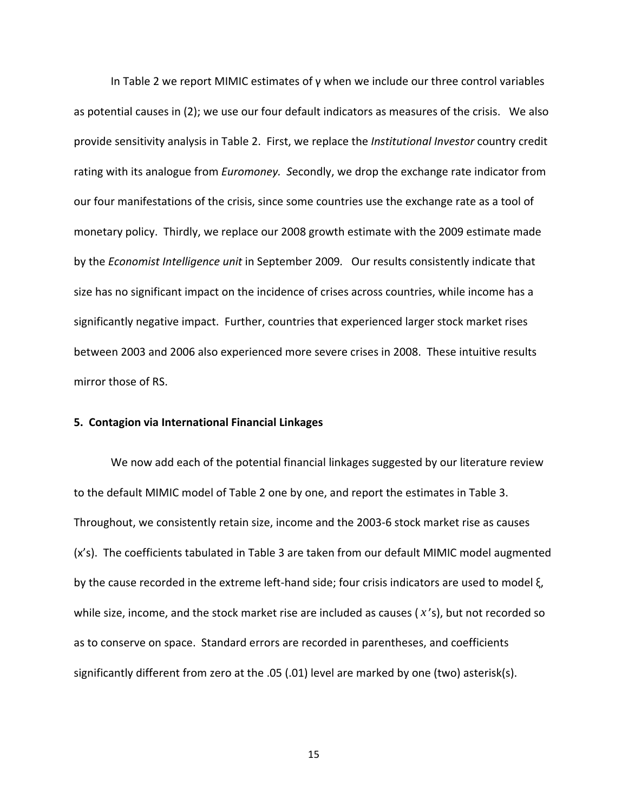In Table 2 we report MIMIC estimates of γ when we include our three control variables as potential causes in (2); we use our four default indicators as measures of the crisis. We also provide sensitivity analysis in Table 2. First, we replace the *Institutional Investor* country credit rating with its analogue from *Euromoney.* Secondly, we drop the exchange rate indicator from our four manifestations of the crisis, since some countries use the exchange rate as a tool of monetary policy. Thirdly, we replace our 2008 growth estimate with the 2009 estimate made by the *Economist Intelligence unit* in September 2009*.*  Our results consistently indicate that size has no significant impact on the incidence of crises across countries, while income has a significantly negative impact. Further, countries that experienced larger stock market rises between 2003 and 2006 also experienced more severe crises in 2008. These intuitive results mirror those of RS.

#### **5. Contagion via International Financial Linkages**

We now add each of the potential financial linkages suggested by our literature review to the default MIMIC model of Table 2 one by one, and report the estimates in Table 3. Throughout, we consistently retain size, income and the 2003‐6 stock market rise as causes (x's). The coefficients tabulated in Table 3 are taken from our default MIMIC model augmented by the cause recorded in the extreme left‐hand side; four crisis indicators are used to model ξ, while size, income, and the stock market rise are included as causes ( *x* 's), but not recorded so as to conserve on space. Standard errors are recorded in parentheses, and coefficients significantly different from zero at the .05 (.01) level are marked by one (two) asterisk(s).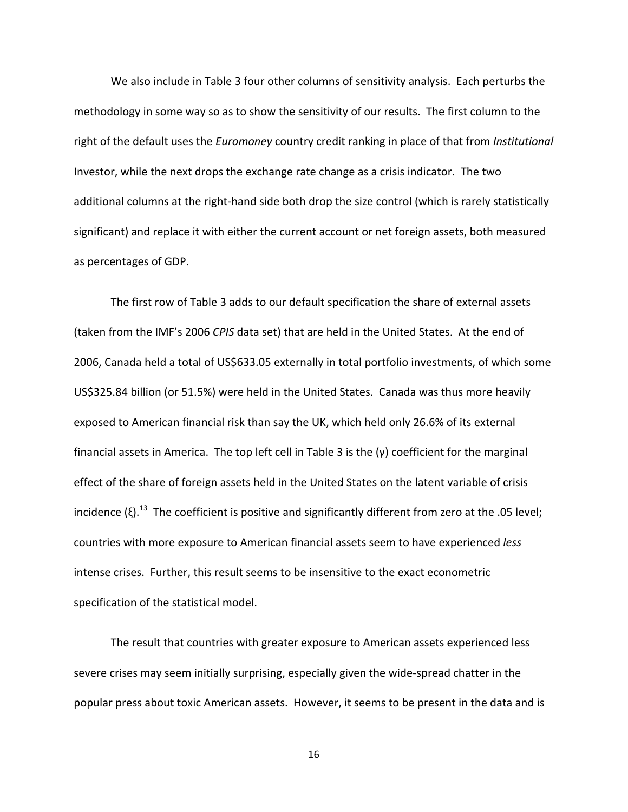We also include in Table 3 four other columns of sensitivity analysis. Each perturbs the methodology in some way so as to show the sensitivity of our results. The first column to the right of the default uses the *Euromoney* country credit ranking in place of that from *Institutional* Investor, while the next drops the exchange rate change as a crisis indicator. The two additional columns at the right‐hand side both drop the size control (which is rarely statistically significant) and replace it with either the current account or net foreign assets, both measured as percentages of GDP.

The first row of Table 3 adds to our default specification the share of external assets (taken from the IMF's 2006 *CPIS* data set) that are held in the United States. At the end of 2006, Canada held a total of US\$633.05 externally in total portfolio investments, of which some US\$325.84 billion (or 51.5%) were held in the United States. Canada was thus more heavily exposed to American financial risk than say the UK, which held only 26.6% of its external financial assets in America. The top left cell in Table 3 is the (γ) coefficient for the marginal effect of the share of foreign assets held in the United States on the latent variable of crisis incidence (ξ).<sup>13</sup> The coefficient is positive and significantly different from zero at the .05 level; countries with more exposure to American financial assets seem to have experienced *less* intense crises. Further, this result seems to be insensitive to the exact econometric specification of the statistical model.

The result that countries with greater exposure to American assets experienced less severe crises may seem initially surprising, especially given the wide‐spread chatter in the popular press about toxic American assets. However, it seems to be present in the data and is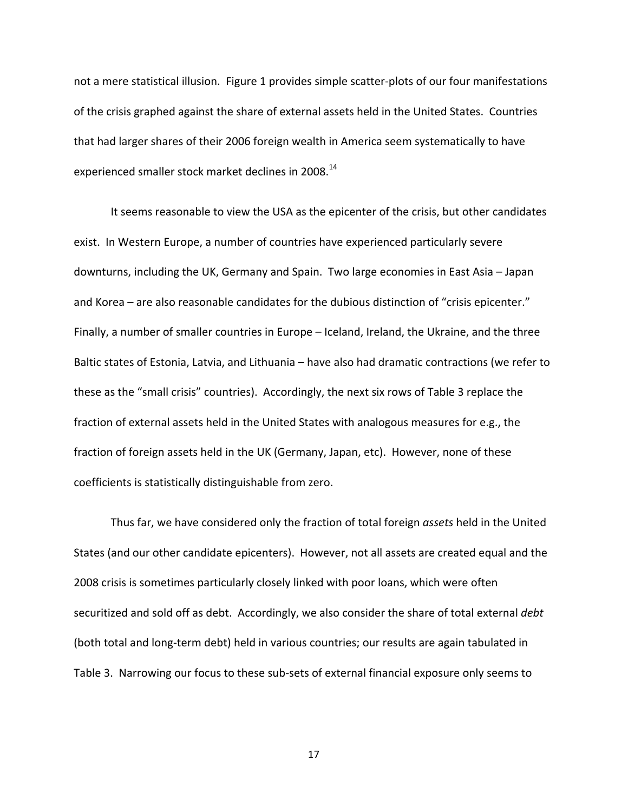not a mere statistical illusion. Figure 1 provides simple scatter‐plots of our four manifestations of the crisis graphed against the share of external assets held in the United States. Countries that had larger shares of their 2006 foreign wealth in America seem systematically to have experienced smaller stock market declines in 2008.<sup>14</sup>

It seems reasonable to view the USA as the epicenter of the crisis, but other candidates exist. In Western Europe, a number of countries have experienced particularly severe downturns, including the UK, Germany and Spain. Two large economies in East Asia – Japan and Korea – are also reasonable candidates for the dubious distinction of "crisis epicenter." Finally, a number of smaller countries in Europe – Iceland, Ireland, the Ukraine, and the three Baltic states of Estonia, Latvia, and Lithuania – have also had dramatic contractions (we refer to these as the "small crisis" countries). Accordingly, the next six rows of Table 3 replace the fraction of external assets held in the United States with analogous measures for e.g., the fraction of foreign assets held in the UK (Germany, Japan, etc). However, none of these coefficients is statistically distinguishable from zero.

Thus far, we have considered only the fraction of total foreign *assets* held in the United States (and our other candidate epicenters). However, not all assets are created equal and the 2008 crisis is sometimes particularly closely linked with poor loans, which were often securitized and sold off as debt. Accordingly, we also consider the share of total external *debt* (both total and long‐term debt) held in various countries; our results are again tabulated in Table 3. Narrowing our focus to these sub‐sets of external financial exposure only seems to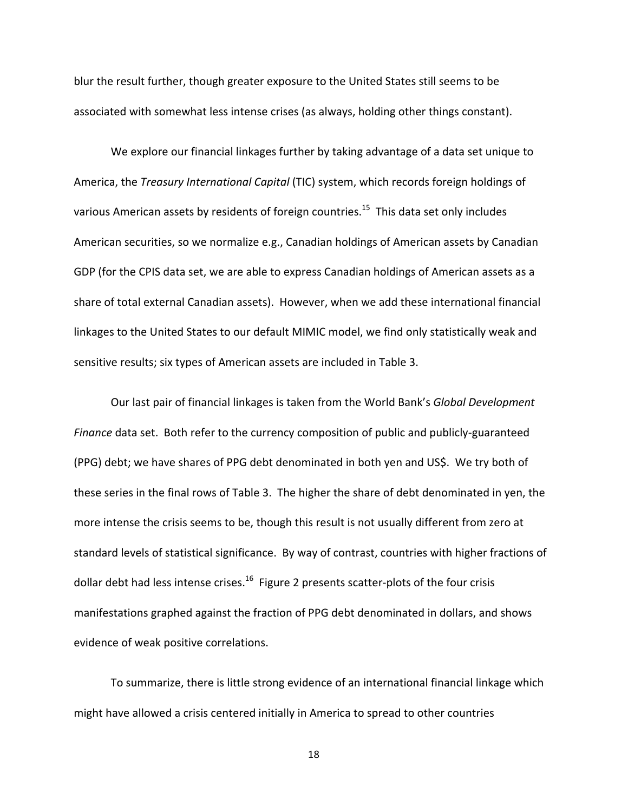blur the result further, though greater exposure to the United States still seems to be associated with somewhat less intense crises (as always, holding other things constant).

We explore our financial linkages further by taking advantage of a data set unique to America, the *Treasury International Capital* (TIC) system, which records foreign holdings of various American assets by residents of foreign countries.<sup>15</sup> This data set only includes American securities, so we normalize e.g., Canadian holdings of American assets by Canadian GDP (for the CPIS data set, we are able to express Canadian holdings of American assets as a share of total external Canadian assets). However, when we add these international financial linkages to the United States to our default MIMIC model, we find only statistically weak and sensitive results; six types of American assets are included in Table 3.

Our last pair of financial linkages is taken from the World Bank's *Global Development Finance* data set. Both refer to the currency composition of public and publicly-guaranteed (PPG) debt; we have shares of PPG debt denominated in both yen and US\$. We try both of these series in the final rows of Table 3. The higher the share of debt denominated in yen, the more intense the crisis seems to be, though this result is not usually different from zero at standard levels of statistical significance. By way of contrast, countries with higher fractions of dollar debt had less intense crises.<sup>16</sup> Figure 2 presents scatter-plots of the four crisis manifestations graphed against the fraction of PPG debt denominated in dollars, and shows evidence of weak positive correlations.

To summarize, there is little strong evidence of an international financial linkage which might have allowed a crisis centered initially in America to spread to other countries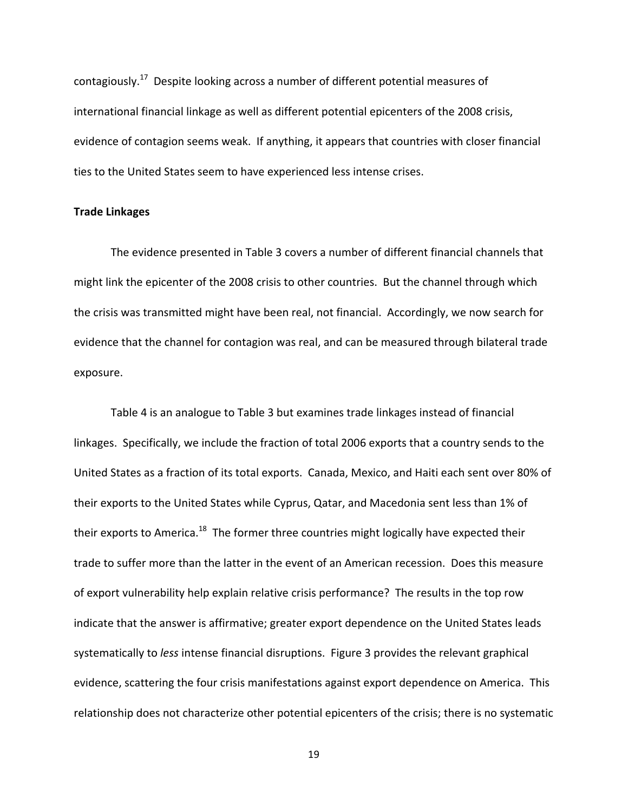contagiously.<sup>17</sup> Despite looking across a number of different potential measures of international financial linkage as well as different potential epicenters of the 2008 crisis, evidence of contagion seems weak. If anything, it appears that countries with closer financial ties to the United States seem to have experienced less intense crises.

#### **Trade Linkages**

The evidence presented in Table 3 covers a number of different financial channels that might link the epicenter of the 2008 crisis to other countries. But the channel through which the crisis was transmitted might have been real, not financial. Accordingly, we now search for evidence that the channel for contagion was real, and can be measured through bilateral trade exposure.

Table 4 is an analogue to Table 3 but examines trade linkages instead of financial linkages. Specifically, we include the fraction of total 2006 exports that a country sends to the United States as a fraction of its total exports. Canada, Mexico, and Haiti each sent over 80% of their exports to the United States while Cyprus, Qatar, and Macedonia sent less than 1% of their exports to America.<sup>18</sup> The former three countries might logically have expected their trade to suffer more than the latter in the event of an American recession. Does this measure of export vulnerability help explain relative crisis performance? The results in the top row indicate that the answer is affirmative; greater export dependence on the United States leads systematically to *less* intense financial disruptions. Figure 3 provides the relevant graphical evidence, scattering the four crisis manifestations against export dependence on America. This relationship does not characterize other potential epicenters of the crisis; there is no systematic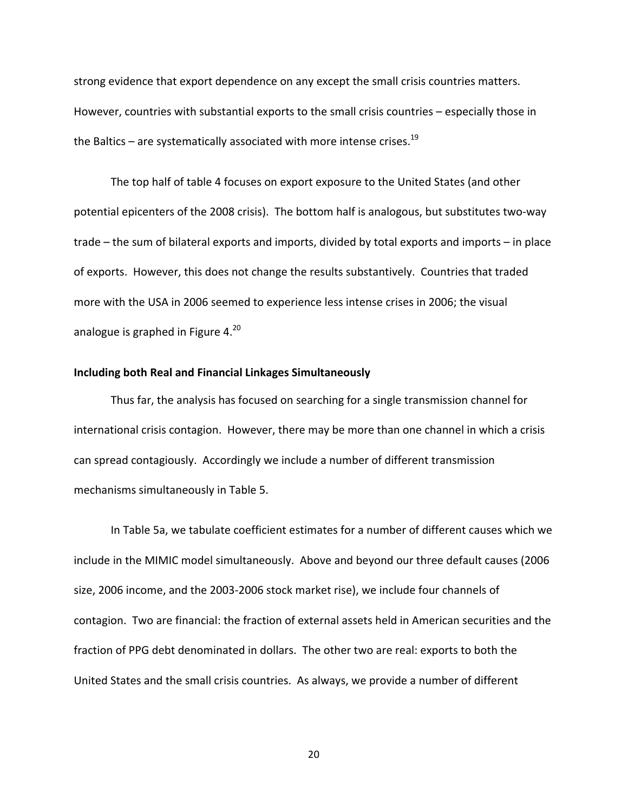strong evidence that export dependence on any except the small crisis countries matters. However, countries with substantial exports to the small crisis countries – especially those in the Baltics – are systematically associated with more intense crises.<sup>19</sup>

The top half of table 4 focuses on export exposure to the United States (and other potential epicenters of the 2008 crisis). The bottom half is analogous, but substitutes two‐way trade – the sum of bilateral exports and imports, divided by total exports and imports – in place of exports. However, this does not change the results substantively. Countries that traded more with the USA in 2006 seemed to experience less intense crises in 2006; the visual analogue is graphed in Figure  $4.^{20}$ 

## **Including both Real and Financial Linkages Simultaneously**

Thus far, the analysis has focused on searching for a single transmission channel for international crisis contagion. However, there may be more than one channel in which a crisis can spread contagiously. Accordingly we include a number of different transmission mechanisms simultaneously in Table 5.

In Table 5a, we tabulate coefficient estimates for a number of different causes which we include in the MIMIC model simultaneously. Above and beyond our three default causes (2006 size, 2006 income, and the 2003‐2006 stock market rise), we include four channels of contagion. Two are financial: the fraction of external assets held in American securities and the fraction of PPG debt denominated in dollars. The other two are real: exports to both the United States and the small crisis countries. As always, we provide a number of different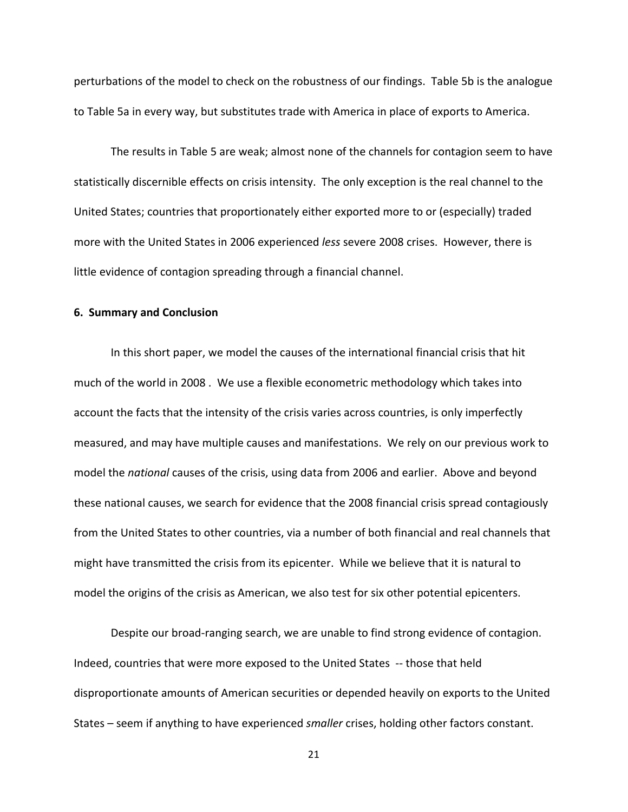perturbations of the model to check on the robustness of our findings. Table 5b is the analogue to Table 5a in every way, but substitutes trade with America in place of exports to America.

The results in Table 5 are weak; almost none of the channels for contagion seem to have statistically discernible effects on crisis intensity. The only exception is the real channel to the United States; countries that proportionately either exported more to or (especially) traded more with the United States in 2006 experienced *less* severe 2008 crises. However, there is little evidence of contagion spreading through a financial channel.

#### **6. Summary and Conclusion**

In this short paper, we model the causes of the international financial crisis that hit much of the world in 2008 . We use a flexible econometric methodology which takes into account the facts that the intensity of the crisis varies across countries, is only imperfectly measured, and may have multiple causes and manifestations. We rely on our previous work to model the *national* causes of the crisis, using data from 2006 and earlier. Above and beyond these national causes, we search for evidence that the 2008 financial crisis spread contagiously from the United States to other countries, via a number of both financial and real channels that might have transmitted the crisis from its epicenter. While we believe that it is natural to model the origins of the crisis as American, we also test for six other potential epicenters.

Despite our broad‐ranging search, we are unable to find strong evidence of contagion. Indeed, countries that were more exposed to the United States ‐‐ those that held disproportionate amounts of American securities or depended heavily on exports to the United States – seem if anything to have experienced *smaller* crises, holding other factors constant.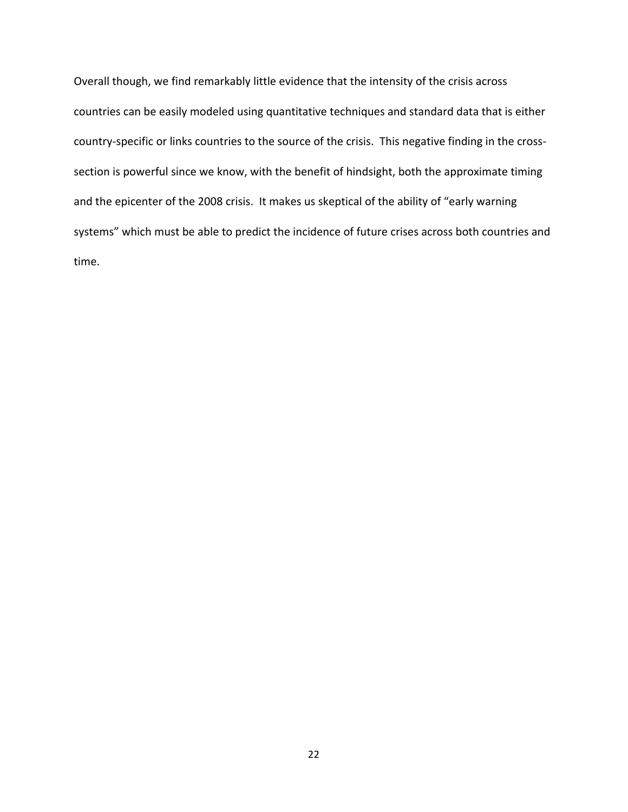Overall though, we find remarkably little evidence that the intensity of the crisis across countries can be easily modeled using quantitative techniques and standard data that is either country-specific or links countries to the source of the crisis. This negative finding in the crosssection is powerful since we know, with the benefit of hindsight, both the approximate timing and the epicenter of the 2008 crisis. It makes us skeptical of the ability of "early warning systems" which must be able to predict the incidence of future crises across both countries and time.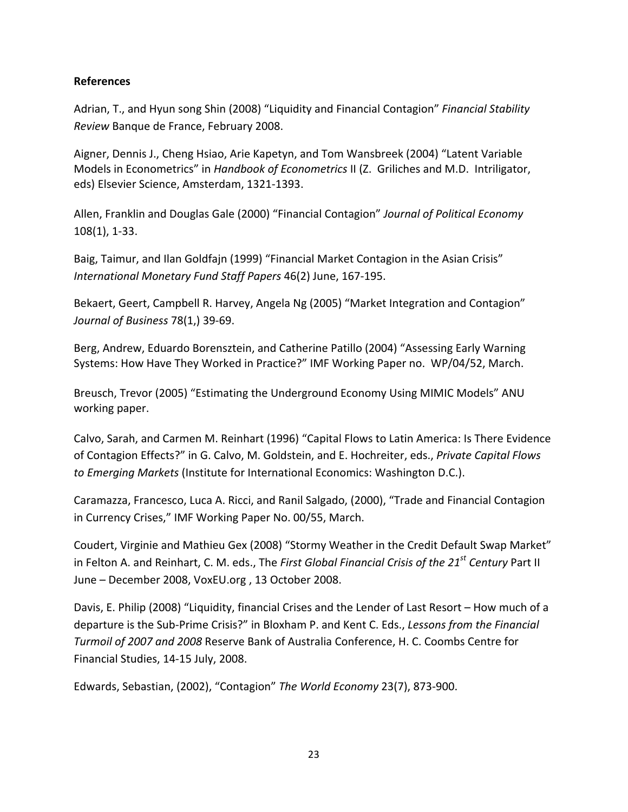## **References**

Adrian, T., and Hyun song Shin (2008) "Liquidity and Financial Contagion" *Financial Stability Review* Banque de France, February 2008.

Aigner, Dennis J., Cheng Hsiao, Arie Kapetyn, and Tom Wansbreek (2004) "Latent Variable Models in Econometrics" in *Handbook of Econometrics* II (Z. Griliches and M.D. Intriligator, eds) Elsevier Science, Amsterdam, 1321‐1393.

Allen, Franklin and Douglas Gale (2000) "Financial Contagion" *Journal of Political Economy* 108(1), 1‐33.

Baig, Taimur, and Ilan Goldfajn (1999) "Financial Market Contagion in the Asian Crisis" *International Monetary Fund Staff Papers* 46(2) June, 167‐195.

Bekaert, Geert, Campbell R. Harvey, Angela Ng (2005) "Market Integration and Contagion" *Journal of Business* 78(1,) 39‐69.

Berg, Andrew, Eduardo Borensztein, and Catherine Patillo (2004) "Assessing Early Warning Systems: How Have They Worked in Practice?" IMF Working Paper no. WP/04/52, March.

Breusch, Trevor (2005) "Estimating the Underground Economy Using MIMIC Models" ANU working paper.

Calvo, Sarah, and Carmen M. Reinhart (1996) "Capital Flows to Latin America: Is There Evidence of Contagion Effects?" in G. Calvo, M. Goldstein, and E. Hochreiter, eds., *Private Capital Flows to Emerging Markets* (Institute for International Economics: Washington D.C.).

Caramazza, Francesco, Luca A. Ricci, and Ranil Salgado, (2000), "Trade and Financial Contagion in Currency Crises," IMF Working Paper No. 00/55, March.

Coudert, Virginie and Mathieu Gex (2008) "Stormy Weather in the Credit Default Swap Market" in Felton A. and Reinhart, C. M. eds., The *First Global Financial Crisis of the 21st Century* Part II June – December 2008, VoxEU.org , 13 October 2008.

Davis, E. Philip (2008) "Liquidity, financial Crises and the Lender of Last Resort – How much of a departure is the Sub‐Prime Crisis?" in Bloxham P. and Kent C. Eds., *Lessons from the Financial Turmoil of 2007 and 2008* Reserve Bank of Australia Conference, H. C. Coombs Centre for Financial Studies, 14‐15 July, 2008.

Edwards, Sebastian, (2002), "Contagion" *The World Economy* 23(7), 873‐900.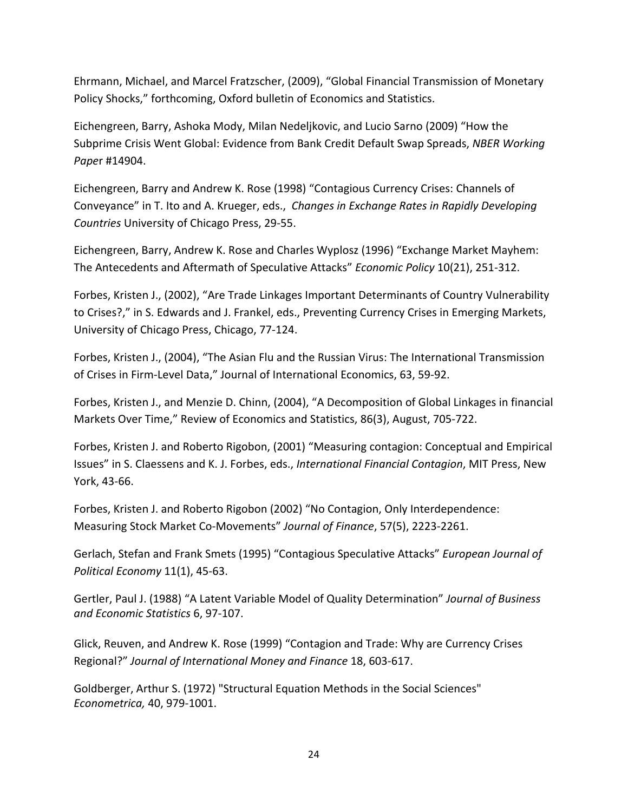Ehrmann, Michael, and Marcel Fratzscher, (2009), "Global Financial Transmission of Monetary Policy Shocks," forthcoming, Oxford bulletin of Economics and Statistics.

Eichengreen, Barry, Ashoka Mody, Milan Nedeljkovic, and Lucio Sarno (2009) "How the Subprime Crisis Went Global: Evidence from Bank Credit Default Swap Spreads, *NBER Working Pape*r #14904.

Eichengreen, Barry and Andrew K. Rose (1998) "Contagious Currency Crises: Channels of Conveyance" in T. Ito and A. Krueger, eds., *Changes in Exchange Rates in Rapidly Developing Countries* University of Chicago Press, 29‐55.

Eichengreen, Barry, Andrew K. Rose and Charles Wyplosz (1996) "Exchange Market Mayhem: The Antecedents and Aftermath of Speculative Attacks" *Economic Policy* 10(21), 251‐312.

Forbes, Kristen J., (2002), "Are Trade Linkages Important Determinants of Country Vulnerability to Crises?," in S. Edwards and J. Frankel, eds., Preventing Currency Crises in Emerging Markets, University of Chicago Press, Chicago, 77‐124.

Forbes, Kristen J., (2004), "The Asian Flu and the Russian Virus: The International Transmission of Crises in Firm‐Level Data," Journal of International Economics, 63, 59‐92.

Forbes, Kristen J., and Menzie D. Chinn, (2004), "A Decomposition of Global Linkages in financial Markets Over Time," Review of Economics and Statistics, 86(3), August, 705‐722.

Forbes, Kristen J. and Roberto Rigobon, (2001) "Measuring contagion: Conceptual and Empirical Issues" in S. Claessens and K. J. Forbes, eds., *International Financial Contagion*, MIT Press, New York, 43‐66.

Forbes, Kristen J. and Roberto Rigobon (2002) "No Contagion, Only Interdependence: Measuring Stock Market Co‐Movements" *Journal of Finance*, 57(5), 2223‐2261.

Gerlach, Stefan and Frank Smets (1995) "Contagious Speculative Attacks" *European Journal of Political Economy* 11(1), 45‐63.

Gertler, Paul J. (1988) "A Latent Variable Model of Quality Determination" *Journal of Business and Economic Statistics* 6, 97‐107.

Glick, Reuven, and Andrew K. Rose (1999) "Contagion and Trade: Why are Currency Crises Regional?" *Journal of International Money and Finance* 18, 603‐617.

Goldberger, Arthur S. (1972) "Structural Equation Methods in the Social Sciences" *Econometrica,* 40, 979‐1001.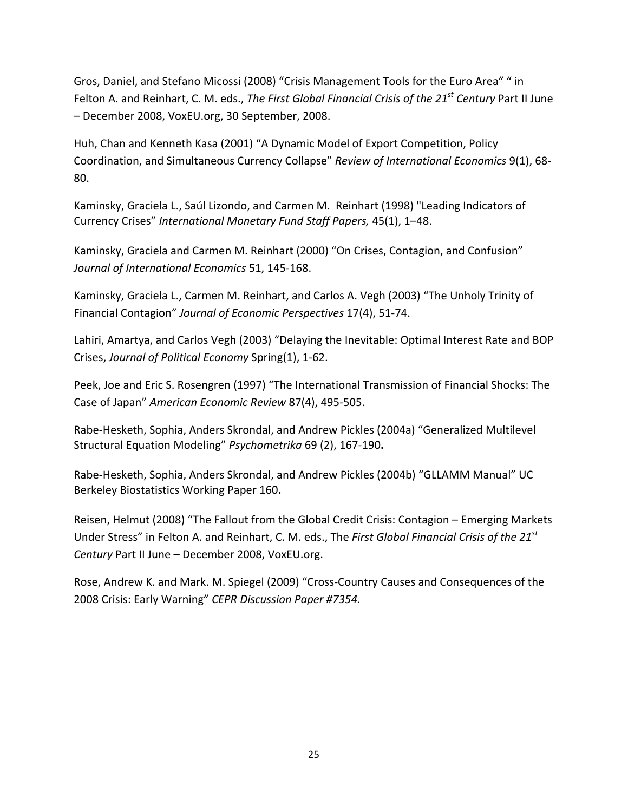Gros, Daniel, and Stefano Micossi (2008) "Crisis Management Tools for the Euro Area" " in Felton A. and Reinhart, C. M. eds., *The First Global Financial Crisis of the 21st Century* Part II June – December 2008, VoxEU.org, 30 September, 2008.

Huh, Chan and Kenneth Kasa (2001) "A Dynamic Model of Export Competition, Policy Coordination, and Simultaneous Currency Collapse" *Review of International Economics* 9(1), 68‐ 80.

Kaminsky, Graciela L., Saúl Lizondo, and Carmen M. Reinhart (1998) "Leading Indicators of Currency Crises" *International Monetary Fund Staff Papers,* 45(1), 1–48.

Kaminsky, Graciela and Carmen M. Reinhart (2000) "On Crises, Contagion, and Confusion" *Journal of International Economics* 51, 145‐168.

Kaminsky, Graciela L., Carmen M. Reinhart, and Carlos A. Vegh (2003) "The Unholy Trinity of Financial Contagion" *Journal of Economic Perspectives* 17(4), 51‐74.

Lahiri, Amartya, and Carlos Vegh (2003) "Delaying the Inevitable: Optimal Interest Rate and BOP Crises, *Journal of Political Economy* Spring(1), 1‐62.

Peek, Joe and Eric S. Rosengren (1997) "The International Transmission of Financial Shocks: The Case of Japan" *American Economic Review* 87(4), 495‐505.

Rabe‐Hesketh, Sophia, Anders Skrondal, and Andrew Pickles (2004a) "Generalized Multilevel Structural Equation Modeling" *Psychometrika* 69 (2), 167‐190**.**

Rabe‐Hesketh, Sophia, Anders Skrondal, and Andrew Pickles (2004b) "GLLAMM Manual" UC Berkeley Biostatistics Working Paper 160**.**

Reisen, Helmut (2008) "The Fallout from the Global Credit Crisis: Contagion – Emerging Markets Under Stress" in Felton A. and Reinhart, C. M. eds., The *First Global Financial Crisis of the 21st Century* Part II June – December 2008, VoxEU.org.

Rose, Andrew K. and Mark. M. Spiegel (2009) "Cross‐Country Causes and Consequences of the 2008 Crisis: Early Warning" *CEPR Discussion Paper #7354.*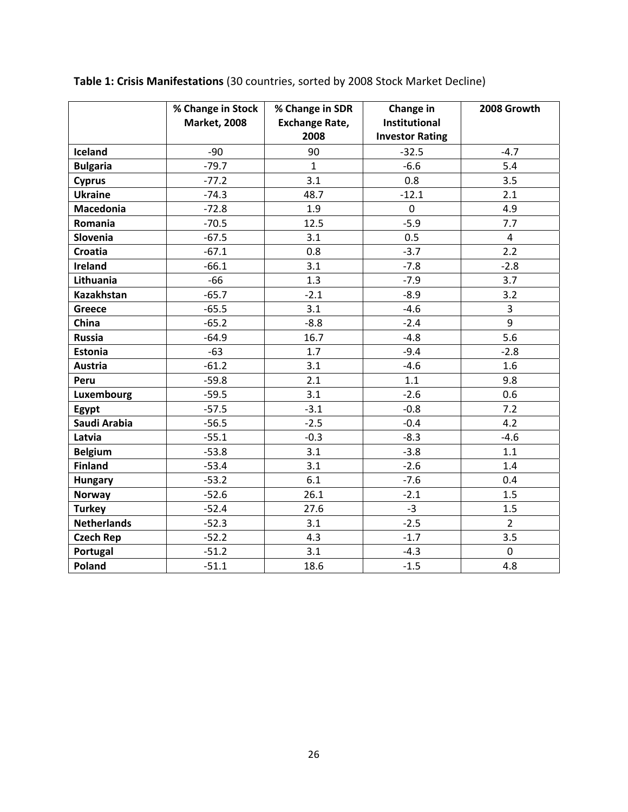|                    | % Change in Stock<br><b>Market, 2008</b> | % Change in SDR<br><b>Exchange Rate,</b><br>2008 | Change in<br>Institutional<br><b>Investor Rating</b> | 2008 Growth    |
|--------------------|------------------------------------------|--------------------------------------------------|------------------------------------------------------|----------------|
| Iceland            | $-90$                                    | 90                                               | $-32.5$                                              | $-4.7$         |
| <b>Bulgaria</b>    | $-79.7$                                  | $\mathbf{1}$                                     | $-6.6$                                               | 5.4            |
| <b>Cyprus</b>      | $-77.2$                                  | 3.1                                              | 0.8                                                  | 3.5            |
| <b>Ukraine</b>     | $-74.3$                                  | 48.7                                             | $-12.1$                                              | 2.1            |
| <b>Macedonia</b>   | $-72.8$                                  | 1.9                                              | $\mathbf 0$                                          | 4.9            |
| Romania            | $-70.5$                                  | 12.5                                             | $-5.9$                                               | 7.7            |
| Slovenia           | $-67.5$                                  | 3.1                                              | 0.5                                                  | 4              |
| Croatia            | $-67.1$                                  | 0.8                                              | $-3.7$                                               | 2.2            |
| <b>Ireland</b>     | $-66.1$                                  | 3.1                                              | $-7.8$                                               | $-2.8$         |
| Lithuania          | $-66$                                    | 1.3                                              | $-7.9$                                               | 3.7            |
| <b>Kazakhstan</b>  | $-65.7$                                  | $-2.1$                                           | $-8.9$                                               | 3.2            |
| <b>Greece</b>      | $-65.5$                                  | 3.1                                              | $-4.6$                                               | 3              |
| China              | $-65.2$                                  | $-8.8$                                           | $-2.4$                                               | 9              |
| <b>Russia</b>      | $-64.9$                                  | 16.7                                             | $-4.8$                                               | 5.6            |
| <b>Estonia</b>     | $-63$                                    | 1.7                                              | $-9.4$                                               | $-2.8$         |
| <b>Austria</b>     | $-61.2$                                  | 3.1                                              | $-4.6$                                               | 1.6            |
| Peru               | $-59.8$                                  | 2.1                                              | 1.1                                                  | 9.8            |
| Luxembourg         | $-59.5$                                  | 3.1                                              | $-2.6$                                               | 0.6            |
| Egypt              | $-57.5$                                  | $-3.1$                                           | $-0.8$                                               | 7.2            |
| Saudi Arabia       | $-56.5$                                  | $-2.5$                                           | $-0.4$                                               | 4.2            |
| Latvia             | $-55.1$                                  | $-0.3$                                           | $-8.3$                                               | $-4.6$         |
| <b>Belgium</b>     | $-53.8$                                  | 3.1                                              | $-3.8$                                               | 1.1            |
| <b>Finland</b>     | $-53.4$                                  | 3.1                                              | $-2.6$                                               | 1.4            |
| <b>Hungary</b>     | $-53.2$                                  | 6.1                                              | $-7.6$                                               | 0.4            |
| Norway             | $-52.6$                                  | 26.1                                             | $-2.1$                                               | 1.5            |
| <b>Turkey</b>      | $-52.4$                                  | 27.6                                             | $-3$                                                 | 1.5            |
| <b>Netherlands</b> | $-52.3$                                  | 3.1                                              | $-2.5$                                               | $\overline{2}$ |
| <b>Czech Rep</b>   | $-52.2$                                  | 4.3                                              | $-1.7$                                               | 3.5            |
| Portugal           | $-51.2$                                  | 3.1                                              | $-4.3$                                               | $\mathbf 0$    |
| <b>Poland</b>      | $-51.1$                                  | 18.6                                             | $-1.5$                                               | 4.8            |

**Table 1: Crisis Manifestations** (30 countries, sorted by 2008 Stock Market Decline)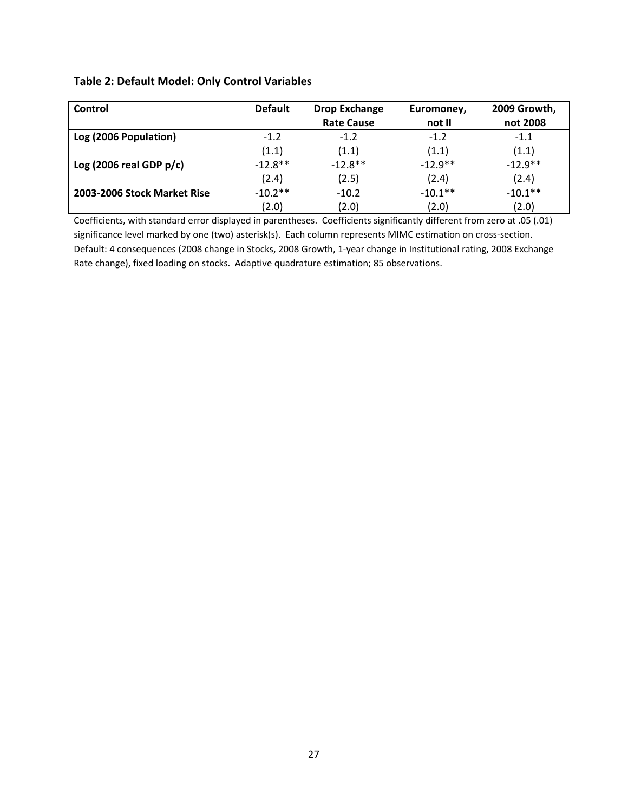## **Table 2: Default Model: Only Control Variables**

| Control                     | <b>Default</b> | <b>Drop Exchange</b> | Euromoney, | 2009 Growth, |
|-----------------------------|----------------|----------------------|------------|--------------|
|                             |                | <b>Rate Cause</b>    | not II     | not 2008     |
| Log (2006 Population)       | $-1.2$         | $-1.2$               | $-1.2$     | $-1.1$       |
|                             | (1.1)          | (1.1)                | (1.1)      | (1.1)        |
| Log (2006 real GDP $p/c$ )  | $-12.8**$      | $-12.8**$            | $-12.9**$  | $-12.9**$    |
|                             | (2.4)          | (2.5)                | (2.4)      | (2.4)        |
| 2003-2006 Stock Market Rise | $-10.2**$      | $-10.2$              | $-10.1**$  | $-10.1**$    |
|                             | (2.0)          | (2.0)                | (2.0)      | (2.0)        |

Coefficients, with standard error displayed in parentheses. Coefficients significantly different from zero at .05 (.01) significance level marked by one (two) asterisk(s). Each column represents MIMC estimation on cross-section. Default: 4 consequences (2008 change in Stocks, 2008 Growth, 1‐year change in Institutional rating, 2008 Exchange Rate change), fixed loading on stocks. Adaptive quadrature estimation; 85 observations.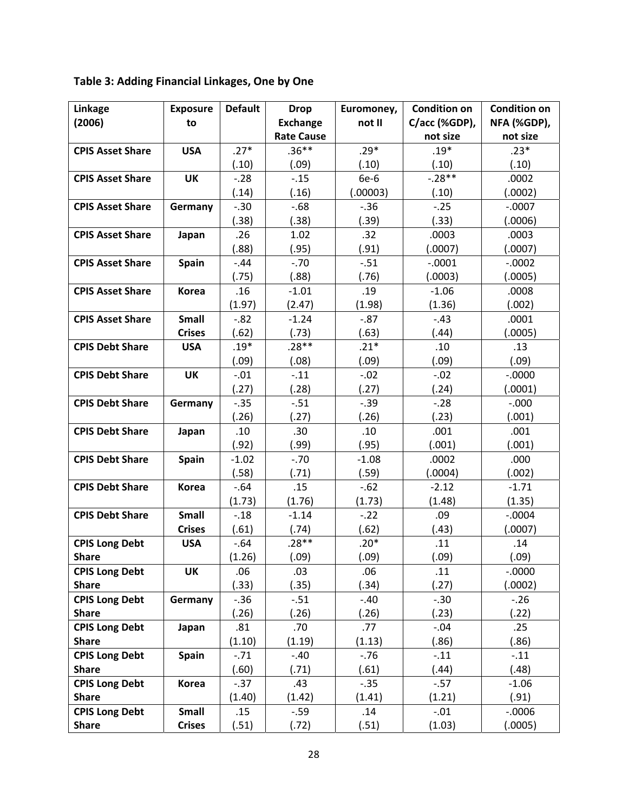## **Table 3: Adding Financial Linkages, One by One**

| Linkage                 | <b>Exposure</b> | <b>Default</b> | <b>Drop</b>       | Euromoney, | <b>Condition on</b> | <b>Condition on</b> |
|-------------------------|-----------------|----------------|-------------------|------------|---------------------|---------------------|
| (2006)                  | to              |                | <b>Exchange</b>   | not II     | C/acc (%GDP),       | NFA (%GDP),         |
|                         |                 |                | <b>Rate Cause</b> |            | not size            | not size            |
| <b>CPIS Asset Share</b> | <b>USA</b>      | $.27*$         | $.36**$           | $.29*$     | $.19*$              | $.23*$              |
|                         |                 | (.10)          | (.09)             | (.10)      | (.10)               | (.10)               |
| <b>CPIS Asset Share</b> | <b>UK</b>       | $-.28$         | $-.15$            | 6e-6       | $-.28**$            | .0002               |
|                         |                 | (.14)          | (.16)             | (.00003)   | (.10)               | (.0002)             |
| <b>CPIS Asset Share</b> | Germany         | $-.30$         | $-0.68$           | $-0.36$    | $-.25$              | $-.0007$            |
|                         |                 | (.38)          | (.38)             | (.39)      | (.33)               | (.0006)             |
| <b>CPIS Asset Share</b> | Japan           | .26            | 1.02              | .32        | .0003               | .0003               |
|                         |                 | (.88)          | (.95)             | (.91)      | (.0007)             | (.0007)             |
| <b>CPIS Asset Share</b> | <b>Spain</b>    | $-.44$         | $-.70$            | $-.51$     | $-.0001$            | $-.0002$            |
|                         |                 | (.75)          | (.88)             | (.76)      | (.0003)             | (.0005)             |
| <b>CPIS Asset Share</b> | <b>Korea</b>    | .16            | $-1.01$           | .19        | $-1.06$             | .0008               |
|                         |                 | (1.97)         | (2.47)            | (1.98)     | (1.36)              | (.002)              |
| <b>CPIS Asset Share</b> | <b>Small</b>    | $-.82$         | $-1.24$           | $-.87$     | $-.43$              | .0001               |
|                         | <b>Crises</b>   | (.62)          | (.73)             | (.63)      | (.44)               | (.0005)             |
| <b>CPIS Debt Share</b>  | <b>USA</b>      | $.19*$         | $.28**$           | $.21*$     | .10                 | .13                 |
|                         |                 | (.09)          | (.08)             | (.09)      | (.09)               | (.09)               |
| <b>CPIS Debt Share</b>  | <b>UK</b>       | $-.01$         | $-.11$            | $-.02$     | $-.02$              | $-0000$             |
|                         |                 | (.27)          | (.28)             | (.27)      | (.24)               | (.0001)             |
| <b>CPIS Debt Share</b>  | Germany         | $-.35$         | $-.51$            | $-.39$     | $-28$               | $-.000$             |
|                         |                 | (.26)          | (.27)             | (.26)      | (.23)               | (.001)              |
| <b>CPIS Debt Share</b>  | Japan           | .10            | .30               | .10        | .001                | .001                |
|                         |                 | (.92)          | (.99)             | (.95)      | (.001)              | (.001)              |
| <b>CPIS Debt Share</b>  | Spain           | $-1.02$        | $-.70$            | $-1.08$    | .0002               | .000                |
|                         |                 | (.58)          | (.71)             | (.59)      | (.0004)             | (.002)              |
| <b>CPIS Debt Share</b>  | <b>Korea</b>    | $-.64$         | .15               | $-.62$     | $-2.12$             | $-1.71$             |
|                         |                 | (1.73)         | (1.76)            | (1.73)     | (1.48)              | (1.35)              |
| <b>CPIS Debt Share</b>  | Small           | $-.18$         | $-1.14$           | $-.22$     | .09                 | $-.0004$            |
|                         | <b>Crises</b>   | (.61)          | (.74)             | (.62)      | (.43)               | (.0007)             |
| <b>CPIS Long Debt</b>   | <b>USA</b>      | $-.64$         | $.28**$           | $.20*$     | .11                 | .14                 |
| <b>Share</b>            |                 | (1.26)         | (.09)             | (.09)      | (.09)               | (.09)               |
| <b>CPIS Long Debt</b>   | <b>UK</b>       | .06            | .03               | .06        | .11                 | $-0000$             |
| <b>Share</b>            |                 | (.33)          | (.35)             | (.34)      | (.27)               | (.0002)             |
| <b>CPIS Long Debt</b>   | Germany         | $-.36$         | $-.51$            | $-.40$     | $-.30$              | $-.26$              |
| <b>Share</b>            |                 | (.26)          | (.26)             | (.26)      | (.23)               | (.22)               |
| <b>CPIS Long Debt</b>   | Japan           | .81            | .70               | .77        | $-.04$              | .25                 |
| <b>Share</b>            |                 | (1.10)         | (1.19)            | (1.13)     | (.86)               | (.86)               |
| <b>CPIS Long Debt</b>   | <b>Spain</b>    | $-.71$         | $-.40$            | $-0.76$    | $-.11$              | $-.11$              |
| <b>Share</b>            |                 | (.60)          | (.71)             | (.61)      | (.44)               | (.48)               |
| <b>CPIS Long Debt</b>   | <b>Korea</b>    | $-0.37$        | .43               | $-.35$     | $-.57$              | $-1.06$             |
| <b>Share</b>            |                 | (1.40)         | (1.42)            | (1.41)     | (1.21)              | (.91)               |
| <b>CPIS Long Debt</b>   | Small           | .15            | $-.59$            | .14        | $-.01$              | $-.0006$            |
| <b>Share</b>            | <b>Crises</b>   | (.51)          | (.72)             | (.51)      | (1.03)              | (.0005)             |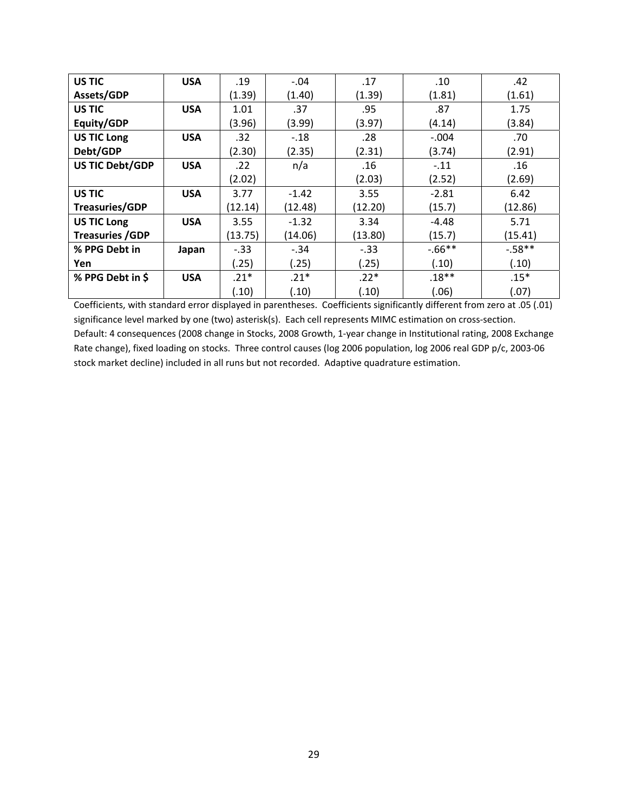| <b>US TIC</b>          | <b>USA</b> | .19     | $-.04$  | .17     | .10       | .42     |
|------------------------|------------|---------|---------|---------|-----------|---------|
| Assets/GDP             |            | (1.39)  | (1.40)  | (1.39)  | (1.81)    | (1.61)  |
| US TIC                 | <b>USA</b> | 1.01    | .37     | .95     | .87       | 1.75    |
| Equity/GDP             |            | (3.96)  | (3.99)  | (3.97)  | (4.14)    | (3.84)  |
| <b>US TIC Long</b>     | <b>USA</b> | .32     | $-.18$  | .28     | $-.004$   | .70     |
| Debt/GDP               |            | (2.30)  | (2.35)  | (2.31)  | (3.74)    | (2.91)  |
| US TIC Debt/GDP        | <b>USA</b> | .22     | n/a     | .16     | $-.11$    | .16     |
|                        |            | (2.02)  |         | (2.03)  | (2.52)    | (2.69)  |
| US TIC                 | <b>USA</b> | 3.77    | $-1.42$ | 3.55    | $-2.81$   | 6.42    |
| <b>Treasuries/GDP</b>  |            | (12.14) | (12.48) | (12.20) | (15.7)    | (12.86) |
| <b>US TIC Long</b>     | <b>USA</b> | 3.55    | $-1.32$ | 3.34    | $-4.48$   | 5.71    |
| <b>Treasuries /GDP</b> |            | (13.75) | (14.06) | (13.80) | (15.7)    | (15.41) |
| % PPG Debt in          | Japan      | $-.33$  | $-.34$  | $-.33$  | $-0.66**$ | $-58**$ |
| Yen                    |            | (.25)   | (.25)   | (.25)   | (.10)     | (.10)   |
| % PPG Debt in \$       | <b>USA</b> | $.21*$  | $.21*$  | $.22*$  | $.18**$   | $.15*$  |
|                        |            | (.10)   | (.10)   | (.10)   | (.06)     | (.07)   |

Coefficients, with standard error displayed in parentheses. Coefficients significantly different from zero at .05 (.01) significance level marked by one (two) asterisk(s). Each cell represents MIMC estimation on cross-section. Default: 4 consequences (2008 change in Stocks, 2008 Growth, 1‐year change in Institutional rating, 2008 Exchange Rate change), fixed loading on stocks. Three control causes (log 2006 population, log 2006 real GDP p/c, 2003‐06 stock market decline) included in all runs but not recorded. Adaptive quadrature estimation.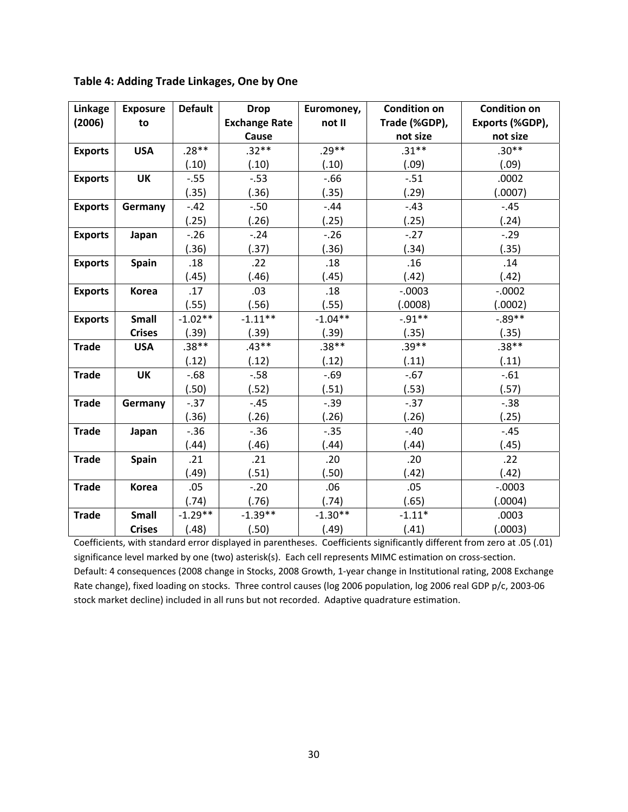| Linkage        | <b>Exposure</b> | <b>Default</b> | <b>Drop</b>          | Euromoney, | <b>Condition on</b> | <b>Condition on</b> |
|----------------|-----------------|----------------|----------------------|------------|---------------------|---------------------|
| (2006)         | to              |                | <b>Exchange Rate</b> | not II     | Trade (%GDP),       | Exports (%GDP),     |
|                |                 |                | Cause                |            | not size            | not size            |
| <b>Exports</b> | <b>USA</b>      | $.28**$        | $.32**$              | $.29**$    | $.31***$            | $.30**$             |
|                |                 | (.10)          | (.10)                | (.10)      | (.09)               | (.09)               |
| <b>Exports</b> | <b>UK</b>       | $-.55$         | $-.53$               | $-0.66$    | $-.51$              | .0002               |
|                |                 | (.35)          | (.36)                | (.35)      | (.29)               | (.0007)             |
| <b>Exports</b> | Germany         | $-.42$         | $-.50$               | $-.44$     | $-.43$              | $-.45$              |
|                |                 | (.25)          | (.26)                | (.25)      | (.25)               | (.24)               |
| <b>Exports</b> | Japan           | $-.26$         | $-.24$               | $-.26$     | $-.27$              | $-.29$              |
|                |                 | (.36)          | (.37)                | (.36)      | (.34)               | (.35)               |
| <b>Exports</b> | <b>Spain</b>    | .18            | .22                  | .18        | .16                 | .14                 |
|                |                 | (.45)          | (.46)                | (.45)      | (.42)               | (.42)               |
| <b>Exports</b> | <b>Korea</b>    | .17            | .03                  | .18        | $-.0003$            | $-.0002$            |
|                |                 | (.55)          | (.56)                | (.55)      | (.0008)             | (.0002)             |
| <b>Exports</b> | Small           | $-1.02**$      | $-1.11***$           | $-1.04**$  | $-0.91**$           | $-.89**$            |
|                | <b>Crises</b>   | (.39)          | (.39)                | (.39)      | (.35)               | (.35)               |
| <b>Trade</b>   | <b>USA</b>      | $.38**$        | $.43**$              | $.38**$    | $.39**$             | $.38**$             |
|                |                 | (.12)          | (.12)                | (.12)      | (.11)               | (.11)               |
| <b>Trade</b>   | <b>UK</b>       | $-0.68$        | $-0.58$              | $-.69$     | $-.67$              | $-.61$              |
|                |                 | (.50)          | (.52)                | (.51)      | (.53)               | (.57)               |
| <b>Trade</b>   | Germany         | $-0.37$        | $-.45$               | $-.39$     | $-0.37$             | $-0.38$             |
|                |                 | (.36)          | (.26)                | (.26)      | (.26)               | (.25)               |
| <b>Trade</b>   | Japan           | $-.36$         | $-.36$               | $-.35$     | $-.40$              | $-.45$              |
|                |                 | (.44)          | (.46)                | (.44)      | (.44)               | (.45)               |
| <b>Trade</b>   | <b>Spain</b>    | .21            | .21                  | .20        | .20                 | .22                 |
|                |                 | (.49)          | (.51)                | (.50)      | (.42)               | (.42)               |
| <b>Trade</b>   | Korea           | .05            | $-.20$               | .06        | .05                 | $-.0003$            |
|                |                 | (.74)          | (.76)                | (.74)      | (.65)               | (.0004)             |
| <b>Trade</b>   | <b>Small</b>    | $-1.29**$      | $-1.39**$            | $-1.30**$  | $-1.11*$            | .0003               |
|                | <b>Crises</b>   | (.48)          | (.50)                | (.49)      | (.41)               | (.0003)             |

Coefficients, with standard error displayed in parentheses. Coefficients significantly different from zero at .05 (.01) significance level marked by one (two) asterisk(s). Each cell represents MIMC estimation on cross-section. Default: 4 consequences (2008 change in Stocks, 2008 Growth, 1‐year change in Institutional rating, 2008 Exchange Rate change), fixed loading on stocks. Three control causes (log 2006 population, log 2006 real GDP p/c, 2003‐06 stock market decline) included in all runs but not recorded. Adaptive quadrature estimation.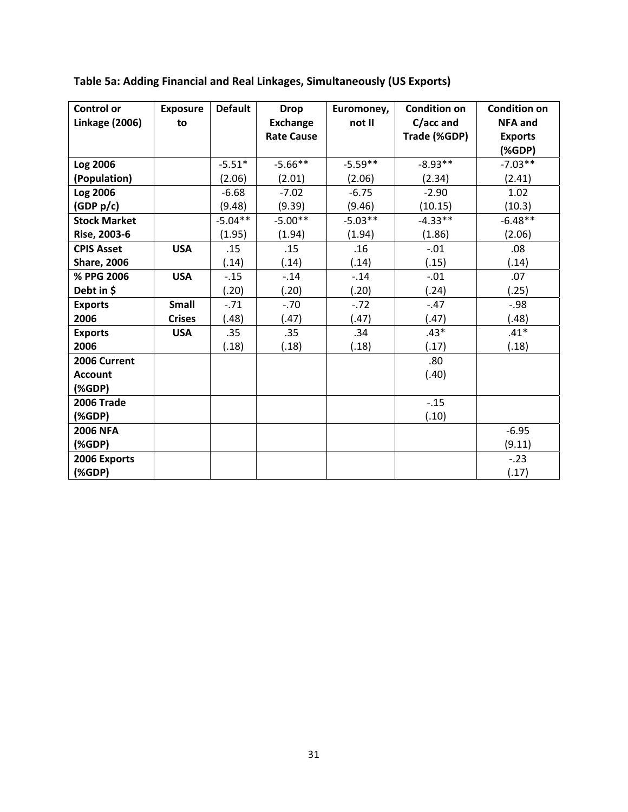| <b>Control or</b>     | <b>Exposure</b> | <b>Default</b> | <b>Drop</b>       | Euromoney, | <b>Condition on</b> | <b>Condition on</b> |
|-----------------------|-----------------|----------------|-------------------|------------|---------------------|---------------------|
| <b>Linkage (2006)</b> | to              |                | <b>Exchange</b>   | not II     | C/acc and           | <b>NFA and</b>      |
|                       |                 |                | <b>Rate Cause</b> |            | Trade (%GDP)        | <b>Exports</b>      |
|                       |                 |                |                   |            |                     | (%                  |
| Log 2006              |                 | $-5.51*$       | $-5.66**$         | $-5.59**$  | $-8.93**$           | $-7.03**$           |
| (Population)          |                 | (2.06)         | (2.01)            | (2.06)     | (2.34)              | (2.41)              |
| Log 2006              |                 | $-6.68$        | $-7.02$           | $-6.75$    | $-2.90$             | 1.02                |
| (GDP p/c)             |                 | (9.48)         | (9.39)            | (9.46)     | (10.15)             | (10.3)              |
| <b>Stock Market</b>   |                 | $-5.04**$      | $-5.00**$         | $-5.03**$  | $-4.33**$           | $-6.48**$           |
| Rise, 2003-6          |                 | (1.95)         | (1.94)            | (1.94)     | (1.86)              | (2.06)              |
| <b>CPIS Asset</b>     | <b>USA</b>      | .15            | .15               | .16        | $-.01$              | .08                 |
| <b>Share, 2006</b>    |                 | (.14)          | (.14)             | (.14)      | (.15)               | (.14)               |
| % PPG 2006            | <b>USA</b>      | $-0.15$        | $-.14$            | $-.14$     | $-.01$              | .07                 |
| Debt in \$            |                 | (.20)          | (.20)             | (.20)      | (.24)               | (.25)               |
| <b>Exports</b>        | Small           | $-71$          | $-.70$            | $-.72$     | $-.47$              | $-.98$              |
| 2006                  | <b>Crises</b>   | (.48)          | (.47)             | (.47)      | (.47)               | (.48)               |
| <b>Exports</b>        | <b>USA</b>      | .35            | .35               | .34        | $.43*$              | $.41*$              |
| 2006                  |                 | (.18)          | (.18)             | (.18)      | (.17)               | (.18)               |
| 2006 Current          |                 |                |                   |            | .80                 |                     |
| <b>Account</b>        |                 |                |                   |            | (.40)               |                     |
| (%                    |                 |                |                   |            |                     |                     |
| <b>2006 Trade</b>     |                 |                |                   |            | $-.15$              |                     |
| (%                    |                 |                |                   |            | (.10)               |                     |
| <b>2006 NFA</b>       |                 |                |                   |            |                     | $-6.95$             |
| (%                    |                 |                |                   |            |                     | (9.11)              |
| 2006 Exports          |                 |                |                   |            |                     | $-0.23$             |
| (%                    |                 |                |                   |            |                     | (.17)               |

**Table 5a: Adding Financial and Real Linkages, Simultaneously (US Exports)**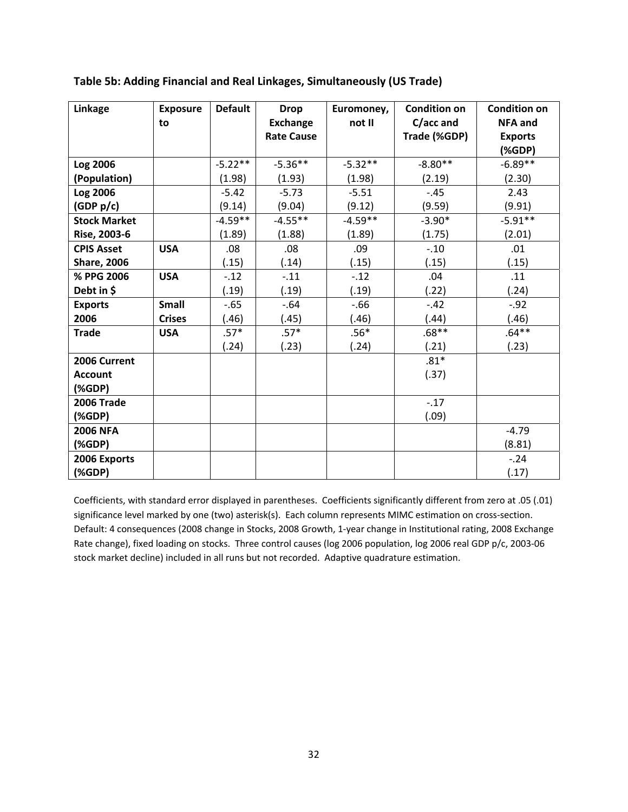| <b>Linkage</b>      | <b>Exposure</b> | <b>Default</b> | <b>Drop</b>       | Euromoney, | <b>Condition on</b> | <b>Condition on</b> |
|---------------------|-----------------|----------------|-------------------|------------|---------------------|---------------------|
|                     | to              |                | <b>Exchange</b>   | not II     | C/acc and           | <b>NFA and</b>      |
|                     |                 |                | <b>Rate Cause</b> |            | Trade (%GDP)        | <b>Exports</b>      |
|                     |                 |                |                   |            |                     | (%                  |
| Log 2006            |                 | $-5.22**$      | $-5.36**$         | $-5.32**$  | $-8.80**$           | $-6.89**$           |
| (Population)        |                 | (1.98)         | (1.93)            | (1.98)     | (2.19)              | (2.30)              |
| Log 2006            |                 | $-5.42$        | $-5.73$           | $-5.51$    | $-.45$              | 2.43                |
| (GDP p/c)           |                 | (9.14)         | (9.04)            | (9.12)     | (9.59)              | (9.91)              |
| <b>Stock Market</b> |                 | $-4.59**$      | $-4.55**$         | $-4.59**$  | $-3.90*$            | $-5.91**$           |
| Rise, 2003-6        |                 | (1.89)         | (1.88)            | (1.89)     | (1.75)              | (2.01)              |
| <b>CPIS Asset</b>   | <b>USA</b>      | .08            | .08               | .09        | $-.10$              | .01                 |
| <b>Share, 2006</b>  |                 | (.15)          | (.14)             | (.15)      | (.15)               | (.15)               |
| % PPG 2006          | <b>USA</b>      | $-12$          | $-.11$            | $-.12$     | .04                 | .11                 |
| Debt in \$          |                 | (.19)          | (.19)             | (.19)      | (.22)               | (.24)               |
| <b>Exports</b>      | Small           | $-65$          | $-.64$            | $-66$      | $-.42$              | $-.92$              |
| 2006                | <b>Crises</b>   | (.46)          | (.45)             | (.46)      | (.44)               | (.46)               |
| <b>Trade</b>        | <b>USA</b>      | $.57*$         | $.57*$            | $.56*$     | $.68**$             | $.64**$             |
|                     |                 | (.24)          | (.23)             | (.24)      | (.21)               | (.23)               |
| 2006 Current        |                 |                |                   |            | $.81*$              |                     |
| <b>Account</b>      |                 |                |                   |            | (.37)               |                     |
| (%                  |                 |                |                   |            |                     |                     |
| <b>2006 Trade</b>   |                 |                |                   |            | $-17$               |                     |
| (%GDP)              |                 |                |                   |            | (.09)               |                     |
| <b>2006 NFA</b>     |                 |                |                   |            |                     | $-4.79$             |
| (%                  |                 |                |                   |            |                     | (8.81)              |
| 2006 Exports        |                 |                |                   |            |                     | $-.24$              |
| (%                  |                 |                |                   |            |                     | (.17)               |

## **Table 5b: Adding Financial and Real Linkages, Simultaneously (US Trade)**

Coefficients, with standard error displayed in parentheses. Coefficients significantly different from zero at .05 (.01) significance level marked by one (two) asterisk(s). Each column represents MIMC estimation on cross-section. Default: 4 consequences (2008 change in Stocks, 2008 Growth, 1‐year change in Institutional rating, 2008 Exchange Rate change), fixed loading on stocks. Three control causes (log 2006 population, log 2006 real GDP p/c, 2003‐06 stock market decline) included in all runs but not recorded. Adaptive quadrature estimation.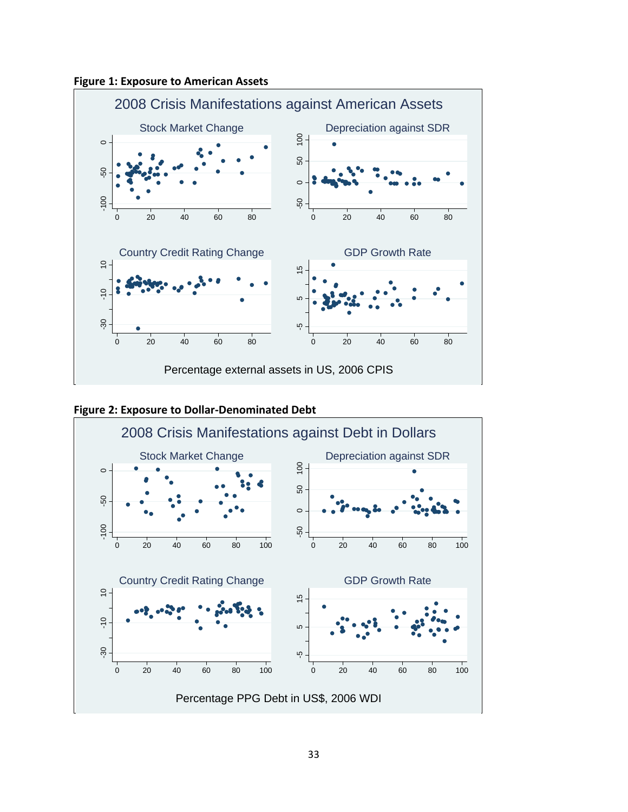





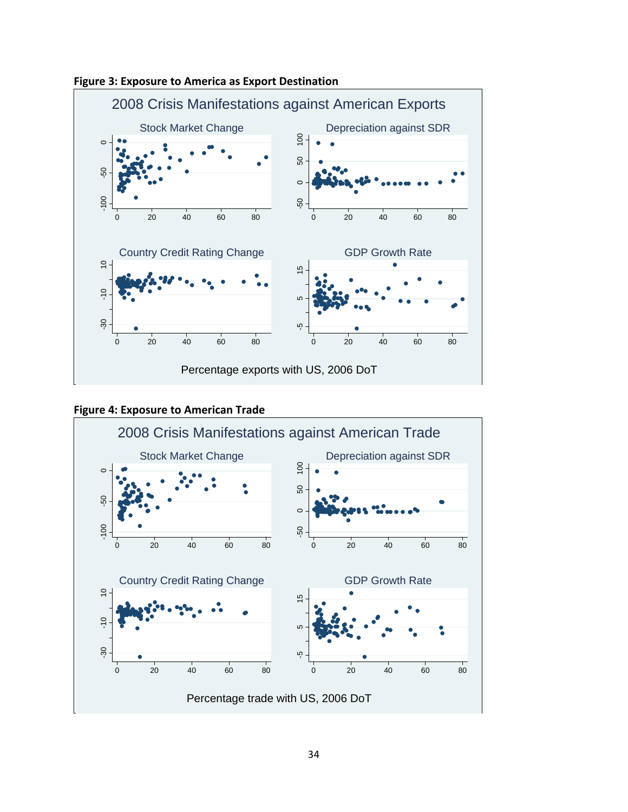





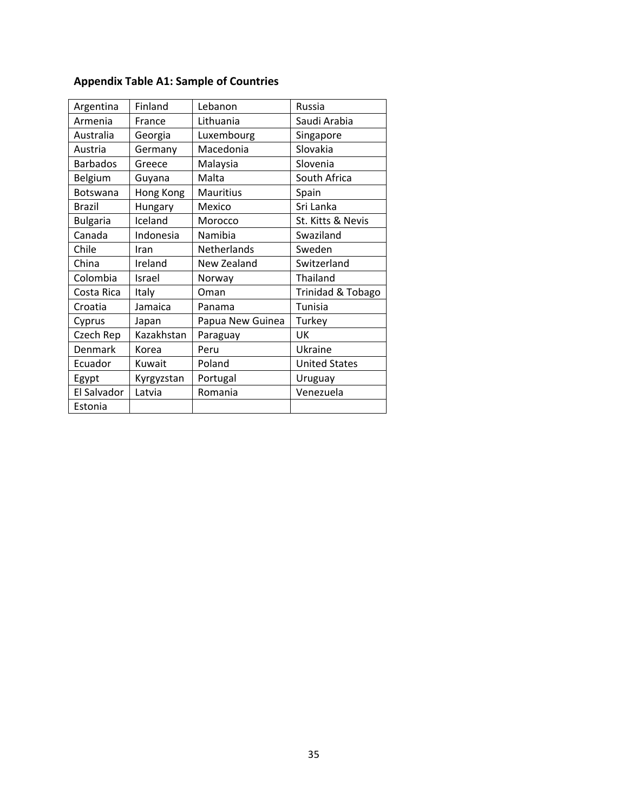| Argentina       | Finland    | Lebanon          | Russia               |
|-----------------|------------|------------------|----------------------|
| Armenia         | France     | Lithuania        | Saudi Arabia         |
| Australia       | Georgia    | Luxembourg       | Singapore            |
| Austria         | Germany    | Macedonia        | Slovakia             |
| <b>Barbados</b> | Greece     | Malaysia         | Slovenia             |
| Belgium         | Guyana     | Malta            | South Africa         |
| Botswana        | Hong Kong  | <b>Mauritius</b> | Spain                |
| Brazil          | Hungary    | Mexico           | Sri Lanka            |
| <b>Bulgaria</b> | Iceland    | Morocco          | St. Kitts & Nevis    |
| Canada          | Indonesia  | Namibia          | Swaziland            |
| Chile           | Iran       | Netherlands      | Sweden               |
| China           | Ireland    | New Zealand      | Switzerland          |
| Colombia        | Israel     | Norway           | Thailand             |
| Costa Rica      | Italy      | Oman             | Trinidad & Tobago    |
| Croatia         | Jamaica    | Panama           | Tunisia              |
| Cyprus          | Japan      | Papua New Guinea | Turkey               |
| Czech Rep       | Kazakhstan | Paraguay         | UK                   |
| Denmark         | Korea      | Peru             | Ukraine              |
| Ecuador         | Kuwait     | Poland           | <b>United States</b> |
| Egypt           | Kyrgyzstan | Portugal         | Uruguay              |
| El Salvador     | Latvia     | Romania          | Venezuela            |
| Estonia         |            |                  |                      |

## **Appendix Table A1: Sample of Countries**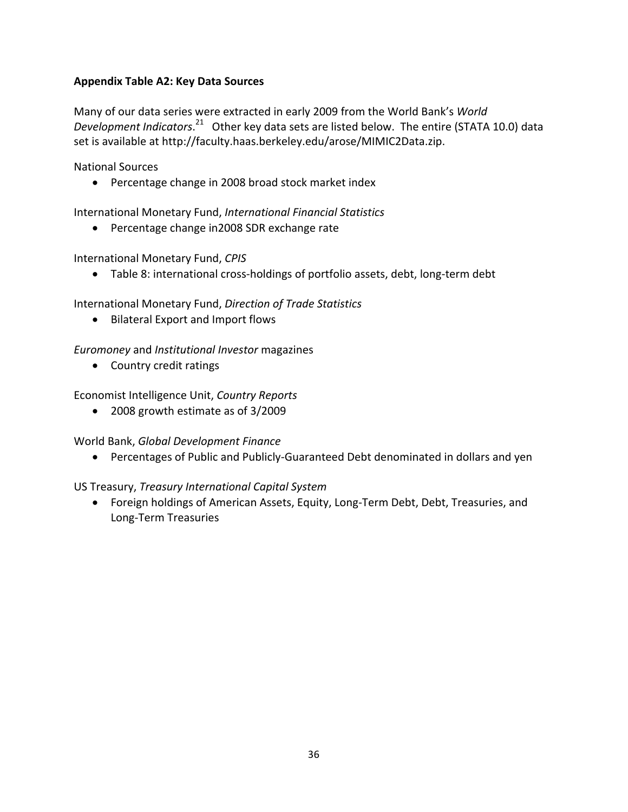## **Appendix Table A2: Key Data Sources**

Many of our data series were extracted in early 2009 from the World Bank's *World* Development *Indicators*.<sup>21</sup> Other key data sets are listed below. The entire (STATA 10.0) data set is available at http://faculty.haas.berkeley.edu/arose/MIMIC2Data.zip.

National Sources

• Percentage change in 2008 broad stock market index

International Monetary Fund, *International Financial Statistics*

• Percentage change in2008 SDR exchange rate

International Monetary Fund, *CPIS*

• Table 8: international cross-holdings of portfolio assets, debt, long-term debt

International Monetary Fund, *Direction of Trade Statistics*

• Bilateral Export and Import flows

## *Euromoney* and *Institutional Investor* magazines

• Country credit ratings

Economist Intelligence Unit, *Country Reports*

• 2008 growth estimate as of 3/2009

World Bank, *Global Development Finance*

• Percentages of Public and Publicly‐Guaranteed Debt denominated in dollars and yen

## US Treasury, *Treasury International Capital System*

• Foreign holdings of American Assets, Equity, Long-Term Debt, Debt, Treasuries, and Long‐Term Treasuries